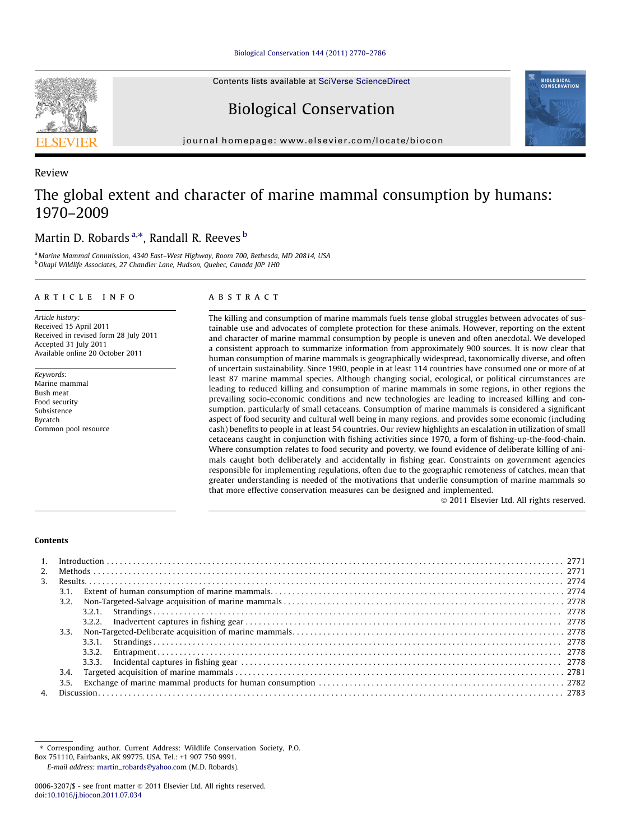Contents lists available at [SciVerse ScienceDirect](http://www.sciencedirect.com/science/journal/00063207)

# Biological Conservation

journal homepage: [www.elsevier.com/locate/biocon](http://www.elsevier.com/locate/biocon)

# The global extent and character of marine mammal consumption by humans: 1970–2009

# Martin D. Robards <sup>a,</sup>\*, Randall R. Reeves <sup>b</sup>

<sup>a</sup> Marine Mammal Commission, 4340 East–West Highway, Room 700, Bethesda, MD 20814, USA <sup>b</sup> Okapi Wildlife Associates, 27 Chandler Lane, Hudson, Quebec, Canada J0P 1H0

#### article info

Article history: Received 15 April 2011 Received in revised form 28 July 2011 Accepted 31 July 2011 Available online 20 October 2011

Keywords: Marine mammal Bush meat Food security Subsistence Bycatch Common pool resource

#### ABSTRACT

The killing and consumption of marine mammals fuels tense global struggles between advocates of sustainable use and advocates of complete protection for these animals. However, reporting on the extent and character of marine mammal consumption by people is uneven and often anecdotal. We developed a consistent approach to summarize information from approximately 900 sources. It is now clear that human consumption of marine mammals is geographically widespread, taxonomically diverse, and often of uncertain sustainability. Since 1990, people in at least 114 countries have consumed one or more of at least 87 marine mammal species. Although changing social, ecological, or political circumstances are leading to reduced killing and consumption of marine mammals in some regions, in other regions the prevailing socio-economic conditions and new technologies are leading to increased killing and consumption, particularly of small cetaceans. Consumption of marine mammals is considered a significant aspect of food security and cultural well being in many regions, and provides some economic (including cash) benefits to people in at least 54 countries. Our review highlights an escalation in utilization of small cetaceans caught in conjunction with fishing activities since 1970, a form of fishing-up-the-food-chain. Where consumption relates to food security and poverty, we found evidence of deliberate killing of animals caught both deliberately and accidentally in fishing gear. Constraints on government agencies responsible for implementing regulations, often due to the geographic remoteness of catches, mean that greater understanding is needed of the motivations that underlie consumption of marine mammals so that more effective conservation measures can be designed and implemented.

- 2011 Elsevier Ltd. All rights reserved.

**BIOLOGICAL**<br>CONSERVATION

### Contents

| 2. |      |  |  |  |
|----|------|--|--|--|
|    |      |  |  |  |
| 3. |      |  |  |  |
|    |      |  |  |  |
|    | 3.2. |  |  |  |
|    |      |  |  |  |
|    |      |  |  |  |
|    | 3.3. |  |  |  |
|    |      |  |  |  |
|    |      |  |  |  |
|    |      |  |  |  |
|    | 3.4. |  |  |  |
|    | 3.5. |  |  |  |
|    |      |  |  |  |



Review

<sup>⇑</sup> Corresponding author. Current Address: Wildlife Conservation Society, P.O. Box 751110, Fairbanks, AK 99775. USA. Tel.: +1 907 750 9991. E-mail address: [martin\\_robards@yahoo.com](mailto:martin_robards@yahoo.com) (M.D. Robards).

<sup>0006-3207/\$ -</sup> see front matter © 2011 Elsevier Ltd. All rights reserved. doi:[10.1016/j.biocon.2011.07.034](http://dx.doi.org/10.1016/j.biocon.2011.07.034)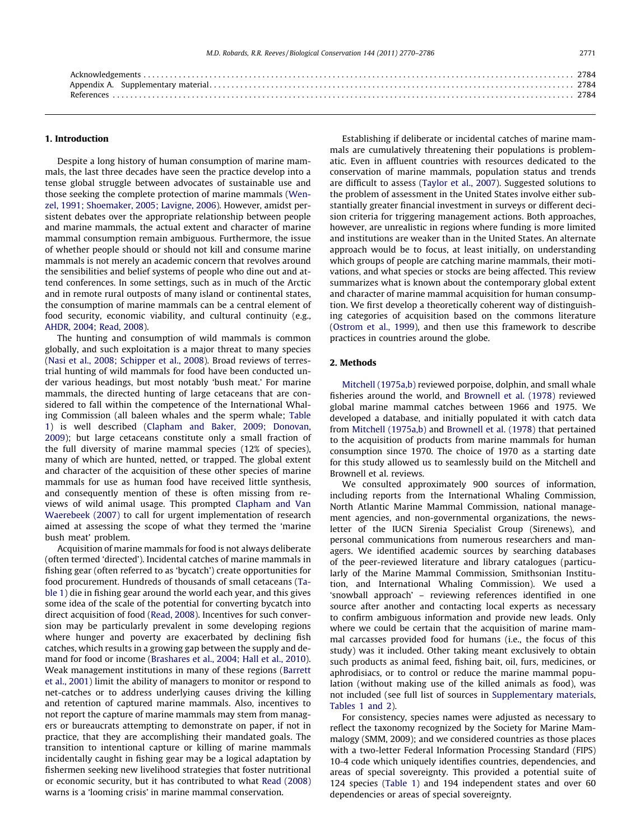#### 1. Introduction

Despite a long history of human consumption of marine mammals, the last three decades have seen the practice develop into a tense global struggle between advocates of sustainable use and those seeking the complete protection of marine mammals ([Wen](#page-16-0)[zel, 1991; Shoemaker, 2005; Lavigne, 2006](#page-16-0)). However, amidst persistent debates over the appropriate relationship between people and marine mammals, the actual extent and character of marine mammal consumption remain ambiguous. Furthermore, the issue of whether people should or should not kill and consume marine mammals is not merely an academic concern that revolves around the sensibilities and belief systems of people who dine out and attend conferences. In some settings, such as in much of the Arctic and in remote rural outposts of many island or continental states, the consumption of marine mammals can be a central element of food security, economic viability, and cultural continuity (e.g., [AHDR, 2004](#page-14-0); [Read, 2008\)](#page-15-0).

The hunting and consumption of wild mammals is common globally, and such exploitation is a major threat to many species ([Nasi et al., 2008; Schipper et al., 2008\)](#page-15-0). Broad reviews of terrestrial hunting of wild mammals for food have been conducted under various headings, but most notably 'bush meat.' For marine mammals, the directed hunting of large cetaceans that are considered to fall within the competence of the International Whaling Commission (all baleen whales and the sperm whale; [Table](#page-2-0) [1](#page-2-0)) is well described ([Clapham and Baker, 2009; Donovan,](#page-14-0) [2009](#page-14-0)); but large cetaceans constitute only a small fraction of the full diversity of marine mammal species (12% of species), many of which are hunted, netted, or trapped. The global extent and character of the acquisition of these other species of marine mammals for use as human food have received little synthesis, and consequently mention of these is often missing from reviews of wild animal usage. This prompted [Clapham and Van](#page-14-0) [Waerebeek \(2007\)](#page-14-0) to call for urgent implementation of research aimed at assessing the scope of what they termed the 'marine bush meat' problem.

Acquisition of marine mammals for food is not always deliberate (often termed 'directed'). Incidental catches of marine mammals in fishing gear (often referred to as 'bycatch') create opportunities for food procurement. Hundreds of thousands of small cetaceans [\(Ta](#page-2-0)[ble 1\)](#page-2-0) die in fishing gear around the world each year, and this gives some idea of the scale of the potential for converting bycatch into direct acquisition of food [\(Read, 2008\)](#page-15-0). Incentives for such conversion may be particularly prevalent in some developing regions where hunger and poverty are exacerbated by declining fish catches, which results in a growing gap between the supply and demand for food or income ([Brashares et al., 2004; Hall et al., 2010\)](#page-14-0). Weak management institutions in many of these regions [\(Barrett](#page-14-0) [et al., 2001](#page-14-0)) limit the ability of managers to monitor or respond to net-catches or to address underlying causes driving the killing and retention of captured marine mammals. Also, incentives to not report the capture of marine mammals may stem from managers or bureaucrats attempting to demonstrate on paper, if not in practice, that they are accomplishing their mandated goals. The transition to intentional capture or killing of marine mammals incidentally caught in fishing gear may be a logical adaptation by fishermen seeking new livelihood strategies that foster nutritional or economic security, but it has contributed to what [Read \(2008\)](#page-15-0) warns is a 'looming crisis' in marine mammal conservation.

Establishing if deliberate or incidental catches of marine mammals are cumulatively threatening their populations is problematic. Even in affluent countries with resources dedicated to the conservation of marine mammals, population status and trends are difficult to assess ([Taylor et al., 2007](#page-16-0)). Suggested solutions to the problem of assessment in the United States involve either substantially greater financial investment in surveys or different decision criteria for triggering management actions. Both approaches, however, are unrealistic in regions where funding is more limited and institutions are weaker than in the United States. An alternate approach would be to focus, at least initially, on understanding which groups of people are catching marine mammals, their motivations, and what species or stocks are being affected. This review summarizes what is known about the contemporary global extent and character of marine mammal acquisition for human consumption. We first develop a theoretically coherent way of distinguishing categories of acquisition based on the commons literature ([Ostrom et al., 1999](#page-15-0)), and then use this framework to describe practices in countries around the globe.

#### 2. Methods

[Mitchell \(1975a,b\)](#page-15-0) reviewed porpoise, dolphin, and small whale fisheries around the world, and [Brownell et al. \(1978\)](#page-14-0) reviewed global marine mammal catches between 1966 and 1975. We developed a database, and initially populated it with catch data from [Mitchell \(1975a,b\)](#page-15-0) and [Brownell et al. \(1978\)](#page-14-0) that pertained to the acquisition of products from marine mammals for human consumption since 1970. The choice of 1970 as a starting date for this study allowed us to seamlessly build on the Mitchell and Brownell et al. reviews.

We consulted approximately 900 sources of information, including reports from the International Whaling Commission, North Atlantic Marine Mammal Commission, national management agencies, and non-governmental organizations, the newsletter of the IUCN Sirenia Specialist Group (Sirenews), and personal communications from numerous researchers and managers. We identified academic sources by searching databases of the peer-reviewed literature and library catalogues (particularly of the Marine Mammal Commission, Smithsonian Institution, and International Whaling Commission). We used a 'snowball approach' – reviewing references identified in one source after another and contacting local experts as necessary to confirm ambiguous information and provide new leads. Only where we could be certain that the acquisition of marine mammal carcasses provided food for humans (i.e., the focus of this study) was it included. Other taking meant exclusively to obtain such products as animal feed, fishing bait, oil, furs, medicines, or aphrodisiacs, or to control or reduce the marine mammal population (without making use of the killed animals as food), was not included (see full list of sources in Supplementary materials, [Tables 1 and 2\)](#page-2-0).

For consistency, species names were adjusted as necessary to reflect the taxonomy recognized by the Society for Marine Mammalogy (SMM, 2009); and we considered countries as those places with a two-letter Federal Information Processing Standard (FIPS) 10-4 code which uniquely identifies countries, dependencies, and areas of special sovereignty. This provided a potential suite of 124 species [\(Table 1](#page-2-0)) and 194 independent states and over 60 dependencies or areas of special sovereignty.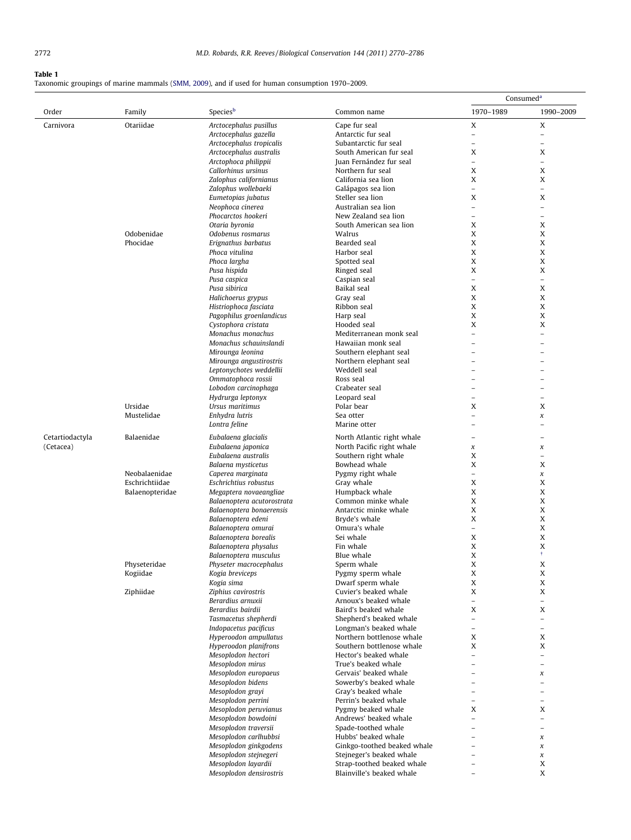# <span id="page-2-0"></span>Taxonomic groupings of marine mammals [\(SMM, 2009\)](#page-16-0), and if used for human consumption 1970–2009.

|                 |                 |                                                 |                                                  | Consumed <sup>a</sup>         |                             |  |
|-----------------|-----------------|-------------------------------------------------|--------------------------------------------------|-------------------------------|-----------------------------|--|
| Order           | Family          | Species <sup>b</sup>                            | Common name                                      | 1970-1989                     | 1990-2009                   |  |
| Carnivora       | Otariidae       | Arctocephalus pusillus                          | Cape fur seal                                    | X                             | X                           |  |
|                 |                 | Arctocephalus gazella                           | Antarctic fur seal                               | $\overline{\phantom{a}}$      | $\overline{\phantom{0}}$    |  |
|                 |                 | Arctocephalus tropicalis                        | Subantarctic fur seal<br>South American fur seal | $\equiv$<br>X                 | $\overline{a}$<br>X         |  |
|                 |                 | Arctocephalus australis<br>Arctophoca philippii | Juan Fernández fur seal                          | $\equiv$                      | $\overline{\phantom{a}}$    |  |
|                 |                 | Callorhinus ursinus                             | Northern fur seal                                | X                             | X                           |  |
|                 |                 | Zalophus californianus                          | California sea lion                              | X                             | X                           |  |
|                 |                 | Zalophus wollebaeki                             | Galápagos sea lion                               | $\overline{\phantom{a}}$      | $\overline{\phantom{0}}$    |  |
|                 |                 | Eumetopias jubatus                              | Steller sea lion                                 | X                             | X                           |  |
|                 |                 | Neophoca cinerea                                | Australian sea lion                              | $\overline{a}$                | $\equiv$                    |  |
|                 |                 | Phocarctos hookeri                              | New Zealand sea lion                             | $\overline{a}$                | $\equiv$                    |  |
|                 | Odobenidae      | Otaria byronia<br>Odobenus rosmarus             | South American sea lion<br>Walrus                | X<br>X                        | X<br>X                      |  |
|                 | Phocidae        | Erignathus barbatus                             | Bearded seal                                     | X                             | X                           |  |
|                 |                 | Phoca vitulina                                  | Harbor seal                                      | X                             | X                           |  |
|                 |                 | Phoca largha                                    | Spotted seal                                     | X                             | X                           |  |
|                 |                 | Pusa hispida                                    | Ringed seal                                      | X                             | X                           |  |
|                 |                 | Pusa caspica                                    | Caspian seal                                     | $\overline{a}$                | $\overline{a}$              |  |
|                 |                 | Pusa sibirica                                   | Baikal seal                                      | X                             | X                           |  |
|                 |                 | Halichoerus grypus                              | Gray seal                                        | X                             | X                           |  |
|                 |                 | Histriophoca fasciata                           | Ribbon seal                                      | X                             | X                           |  |
|                 |                 | Pagophilus groenlandicus                        | Harp seal                                        | X                             | X                           |  |
|                 |                 | Cystophora cristata                             | Hooded seal                                      | X                             | X                           |  |
|                 |                 | Monachus monachus                               | Mediterranean monk seal                          | $\overline{a}$                | $\equiv$                    |  |
|                 |                 | Monachus schauinslandi                          | Hawaiian monk seal                               |                               |                             |  |
|                 |                 | Mirounga leonina<br>Mirounga angustirostris     | Southern elephant seal<br>Northern elephant seal |                               |                             |  |
|                 |                 | Leptonychotes weddellii                         | Weddell seal                                     |                               |                             |  |
|                 |                 | Ommatophoca rossii                              | Ross seal                                        |                               |                             |  |
|                 |                 | Lobodon carcinophaga                            | Crabeater seal                                   | $\overline{a}$                | ÷                           |  |
|                 |                 | Hydrurga leptonyx                               | Leopard seal                                     | $\overline{\phantom{0}}$      | $\overline{a}$              |  |
|                 | Ursidae         | Ursus maritimus                                 | Polar bear                                       | X                             | X                           |  |
|                 | Mustelidae      | Enhydra lutris                                  | Sea otter                                        |                               | $\chi$                      |  |
|                 |                 | Lontra feline                                   | Marine otter                                     | $\overline{\phantom{0}}$      | $\overline{\phantom{0}}$    |  |
| Cetartiodactyla | Balaenidae      | Eubalaena glacialis                             | North Atlantic right whale                       | $\overline{\phantom{0}}$      | $\overline{\phantom{0}}$    |  |
| (Cetacea)       |                 | Eubalaena japonica                              | North Pacific right whale                        | x                             | $\chi$                      |  |
|                 |                 | Eubalaena australis                             | Southern right whale                             | X                             | $\overline{a}$              |  |
|                 |                 | Balaena mysticetus                              | Bowhead whale                                    | X                             | X                           |  |
|                 | Neobalaenidae   | Caperea marginata                               | Pygmy right whale                                | $\qquad \qquad -$             | $\chi$                      |  |
|                 | Eschrichtiidae  | Eschrichtius robustus                           | Gray whale                                       | X                             | X                           |  |
|                 | Balaenopteridae | Megaptera novaeangliae                          | Humpback whale                                   | X                             | X                           |  |
|                 |                 | Balaenoptera acutorostrata                      | Common minke whale                               | X                             | X                           |  |
|                 |                 | Balaenoptera bonaerensis                        | Antarctic minke whale                            | X                             | X                           |  |
|                 |                 | Balaenoptera edeni                              | Bryde's whale<br>Omura's whale                   | X                             | X<br>X                      |  |
|                 |                 | Balaenoptera omurai<br>Balaenoptera borealis    | Sei whale                                        | $\overline{\phantom{0}}$<br>X | X                           |  |
|                 |                 | Balaenoptera physalus                           | Fin whale                                        | X                             | X                           |  |
|                 |                 | Balaenoptera musculus                           | Blue whale                                       | X                             | ÷                           |  |
|                 | Physeteridae    | Physeter macrocephalus                          | Sperm whale                                      | X                             | X                           |  |
|                 | Kogiidae        | Kogia breviceps                                 | Pygmy sperm whale                                | X                             | X                           |  |
|                 |                 | Kogia sima                                      | Dwarf sperm whale                                | X                             | X                           |  |
|                 | Ziphiidae       | Ziphius cavirostris                             | Cuvier's beaked whale                            | X                             | X                           |  |
|                 |                 | Berardius arnuxii                               | Arnoux's beaked whale                            | $\qquad \qquad -$             | $\bar{ }$                   |  |
|                 |                 | Berardius bairdii                               | Baird's beaked whale                             | X                             | X                           |  |
|                 |                 | Tasmacetus shepherdi                            | Shepherd's beaked whale                          | $\overline{\phantom{a}}$      | $\overline{\phantom{a}}$    |  |
|                 |                 | Indopacetus pacificus                           | Longman's beaked whale                           | $\qquad \qquad -$             | $\qquad \qquad -$           |  |
|                 |                 | Hyperoodon ampullatus                           | Northern bottlenose whale                        | X                             | X                           |  |
|                 |                 | Hyperoodon planifrons                           | Southern bottlenose whale                        | X                             | X                           |  |
|                 |                 | Mesoplodon hectori<br>Mesoplodon mirus          | Hector's beaked whale<br>True's beaked whale     | $\qquad \qquad -$             | $\overline{\phantom{a}}$    |  |
|                 |                 | Mesoplodon europaeus                            | Gervais' beaked whale                            |                               | $\qquad \qquad -$<br>$\chi$ |  |
|                 |                 | Mesoplodon bidens                               | Sowerby's beaked whale                           |                               |                             |  |
|                 |                 | Mesoplodon grayi                                | Gray's beaked whale                              |                               | $\overline{a}$              |  |
|                 |                 | Mesoplodon perrini                              | Perrin's beaked whale                            | $\overline{\phantom{m}}$      | $\overline{\phantom{a}}$    |  |
|                 |                 | Mesoplodon peruvianus                           | Pygmy beaked whale                               | X                             | X                           |  |
|                 |                 | Mesoplodon bowdoini                             | Andrews' beaked whale                            |                               | $\qquad \qquad -$           |  |
|                 |                 | Mesoplodon traversii                            | Spade-toothed whale                              |                               | $\qquad \qquad -$           |  |
|                 |                 | Mesoplodon carlhubbsi                           | Hubbs' beaked whale                              |                               | $\chi$                      |  |
|                 |                 | Mesoplodon ginkgodens                           | Ginkgo-toothed beaked whale                      |                               | $\chi$                      |  |
|                 |                 | Mesoplodon stejnegeri                           | Stejneger's beaked whale                         |                               | $\chi$                      |  |
|                 |                 | Mesoplodon layardii                             | Strap-toothed beaked whale                       |                               | X                           |  |
|                 |                 | Mesoplodon densirostris                         | Blainville's beaked whale                        |                               | X                           |  |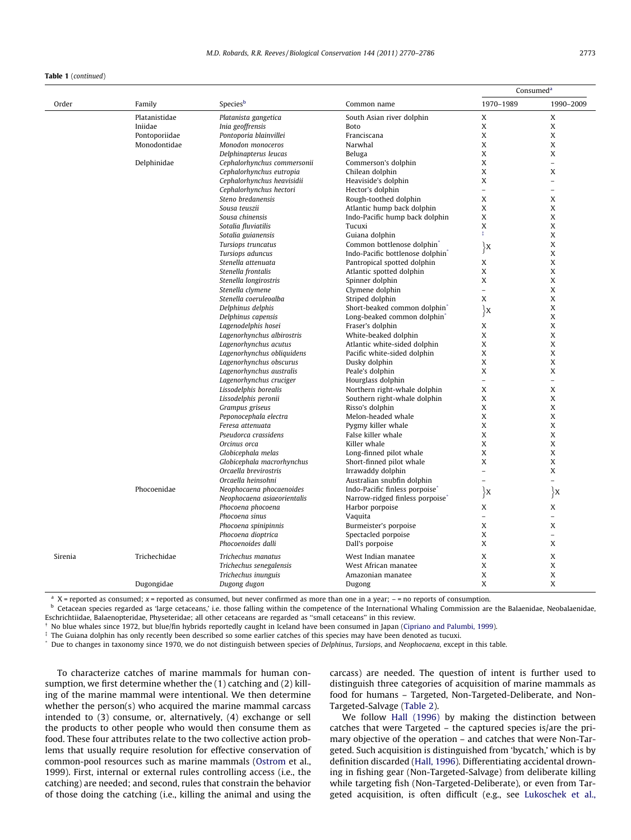M.D. Robards, R.R. Reeves / Biological Conservation 144 (2011) 2770–2786 2773

#### <span id="page-3-0"></span>Table 1 (continued)

-

|         |               |                             |                                              | Consumed <sup>a</sup> |                          |  |
|---------|---------------|-----------------------------|----------------------------------------------|-----------------------|--------------------------|--|
| Order   | Family        | Species <sup>b</sup>        | Common name                                  | 1970-1989             | 1990-2009                |  |
|         | Platanistidae | Platanista gangetica        | South Asian river dolphin                    | X                     | X                        |  |
|         | Iniidae       | Inia geoffrensis            | Boto                                         | X                     | X                        |  |
|         | Pontoporiidae | Pontoporia blainvillei      | Franciscana                                  | X                     | X                        |  |
|         | Monodontidae  | Monodon monoceros           | Narwhal                                      | X                     | X                        |  |
|         |               | Delphinapterus leucas       | Beluga                                       | X                     | X                        |  |
|         | Delphinidae   | Cephalorhynchus commersonii | Commerson's dolphin                          | X                     | $\equiv$                 |  |
|         |               | Cephalorhynchus eutropia    | Chilean dolphin                              | X                     | X                        |  |
|         |               | Cephalorhynchus heavisidii  | Heaviside's dolphin                          | X                     | $\overline{\phantom{0}}$ |  |
|         |               | Cephalorhynchus hectori     | Hector's dolphin                             | $\equiv$              | $\overline{a}$           |  |
|         |               | Steno bredanensis           | Rough-toothed dolphin                        | X                     | X                        |  |
|         |               | Sousa teuszii               | Atlantic hump back dolphin                   | X                     | X                        |  |
|         |               | Sousa chinensis             | Indo-Pacific hump back dolphin               | X                     | X                        |  |
|         |               | Sotalia fluviatilis         | Tucuxi                                       | X                     | X                        |  |
|         |               | Sotalia guianensis          | Guiana dolphin                               | ¢.                    | X                        |  |
|         |               | Tursiops truncatus          | Common bottlenose dolphin <sup>®</sup>       | $\{x\}$               | X                        |  |
|         |               | Tursiops aduncus            | Indo-Pacific bottlenose dolphin <sup>*</sup> |                       | X                        |  |
|         |               | Stenella attenuata          | Pantropical spotted dolphin                  | X                     | X                        |  |
|         |               | Stenella frontalis          | Atlantic spotted dolphin                     | X                     | X                        |  |
|         |               | Stenella longirostris       | Spinner dolphin                              | X                     | X                        |  |
|         |               | Stenella clymene            | Clymene dolphin                              | $\overline{a}$        | X                        |  |
|         |               | Stenella coeruleoalba       | Striped dolphin                              | X                     | X                        |  |
|         |               | Delphinus delphis           | Short-beaked common dolphin <sup>*</sup>     | }χ                    | X                        |  |
|         |               | Delphinus capensis          | Long-beaked common dolphin <sup>*</sup>      |                       | X                        |  |
|         |               | Lagenodelphis hosei         | Fraser's dolphin                             | X                     | X                        |  |
|         |               | Lagenorhynchus albirostris  | White-beaked dolphin                         | X                     | X                        |  |
|         |               | Lagenorhynchus acutus       | Atlantic white-sided dolphin                 | X                     | X                        |  |
|         |               | Lagenorhynchus obliquidens  | Pacific white-sided dolphin                  | X                     | X                        |  |
|         |               | Lagenorhynchus obscurus     | Dusky dolphin                                | X                     | X                        |  |
|         |               | Lagenorhynchus australis    | Peale's dolphin                              | X                     | X                        |  |
|         |               | Lagenorhynchus cruciger     | Hourglass dolphin                            | $\overline{a}$        | $\overline{\phantom{a}}$ |  |
|         |               | Lissodelphis borealis       | Northern right-whale dolphin                 | X                     | X                        |  |
|         |               | Lissodelphis peronii        | Southern right-whale dolphin                 | X                     | X                        |  |
|         |               | Grampus griseus             | Risso's dolphin                              | X                     | X                        |  |
|         |               | Peponocephala electra       | Melon-headed whale                           | X                     | X                        |  |
|         |               | Feresa attenuata            | Pygmy killer whale                           | X                     | X                        |  |
|         |               | Pseudorca crassidens        | False killer whale                           | X                     | X                        |  |
|         |               | Orcinus orca                | Killer whale                                 | X                     | X                        |  |
|         |               | Globicephala melas          | Long-finned pilot whale                      | X                     | X                        |  |
|         |               | Globicephala macrorhynchus  | Short-finned pilot whale                     | X                     | X                        |  |
|         |               | Orcaella brevirostris       | Irrawaddy dolphin                            | $\overline{a}$        | X                        |  |
|         |               | Orcaella heinsohni          | Australian snubfin dolphin                   |                       | $\equiv$                 |  |
|         | Phocoenidae   | Neophocaena phocaenoides    | Indo-Pacific finless porpoise <sup>*</sup>   | $\{x\}$               | $\{x\}$                  |  |
|         |               | Neophocaena asiaeorientalis | Narrow-ridged finless porpoise <sup>*</sup>  |                       |                          |  |
|         |               | Phocoena phocoena           | Harbor porpoise                              | X                     | X                        |  |
|         |               | Phocoena sinus              | Vaquita                                      | $\equiv$              | $\equiv$                 |  |
|         |               | Phocoena spinipinnis        | Burmeister's porpoise                        | X                     | X                        |  |
|         |               | Phocoena dioptrica          | Spectacled porpoise                          | X                     | $\overline{a}$           |  |
|         |               | Phocoenoides dalli          | Dall's porpoise                              | X                     | X                        |  |
| Sirenia | Trichechidae  | Trichechus manatus          | West Indian manatee                          | X                     | X                        |  |
|         |               | Trichechus senegalensis     | West African manatee                         | X                     | X                        |  |
|         |               | Trichechus inunguis         | Amazonian manatee                            | X                     | X                        |  |
|         | Dugongidae    | Dugong dugon                | Dugong                                       | X                     | X                        |  |

 $X$  = reported as consumed;  $x$  = reported as consumed, but never confirmed as more than one in a year;  $-$  = no reports of consumption.

b Cetacean species regarded as 'large cetaceans,' i.e. those falling within the competence of the International Whaling Commission are the Balaenidae, Neobalaenidae, Eschrichtiidae, Balaenopteridae, Physeteridae; all other cetaceans are regarded as ''small cetaceans'' in this review.

No blue whales since 1972, but blue/fin hybrids reportedly caught in Iceland have been consumed in Japan [\(Cipriano and Palumbi, 1999\)](#page-14-0).

The Guiana dolphin has only recently been described so some earlier catches of this species may have been denoted as tucuxi.

Due to changes in taxonomy since 1970, we do not distinguish between species of Delphinus, Tursiops, and Neophocaena, except in this table.

To characterize catches of marine mammals for human consumption, we first determine whether the (1) catching and (2) killing of the marine mammal were intentional. We then determine whether the person(s) who acquired the marine mammal carcass intended to (3) consume, or, alternatively, (4) exchange or sell the products to other people who would then consume them as food. These four attributes relate to the two collective action problems that usually require resolution for effective conservation of common-pool resources such as marine mammals ([Ostrom](#page-15-0) et al., 1999). First, internal or external rules controlling access (i.e., the catching) are needed; and second, rules that constrain the behavior of those doing the catching (i.e., killing the animal and using the

carcass) are needed. The question of intent is further used to distinguish three categories of acquisition of marine mammals as food for humans – Targeted, Non-Targeted-Deliberate, and Non-Targeted-Salvage ([Table 2\)](#page-4-0).

We follow [Hall \(1996\)](#page-14-0) by making the distinction between catches that were Targeted – the captured species is/are the primary objective of the operation – and catches that were Non-Targeted. Such acquisition is distinguished from 'bycatch,' which is by definition discarded ([Hall, 1996\)](#page-14-0). Differentiating accidental drowning in fishing gear (Non-Targeted-Salvage) from deliberate killing while targeting fish (Non-Targeted-Deliberate), or even from Targeted acquisition, is often difficult (e.g., see [Lukoschek et al.,](#page-15-0)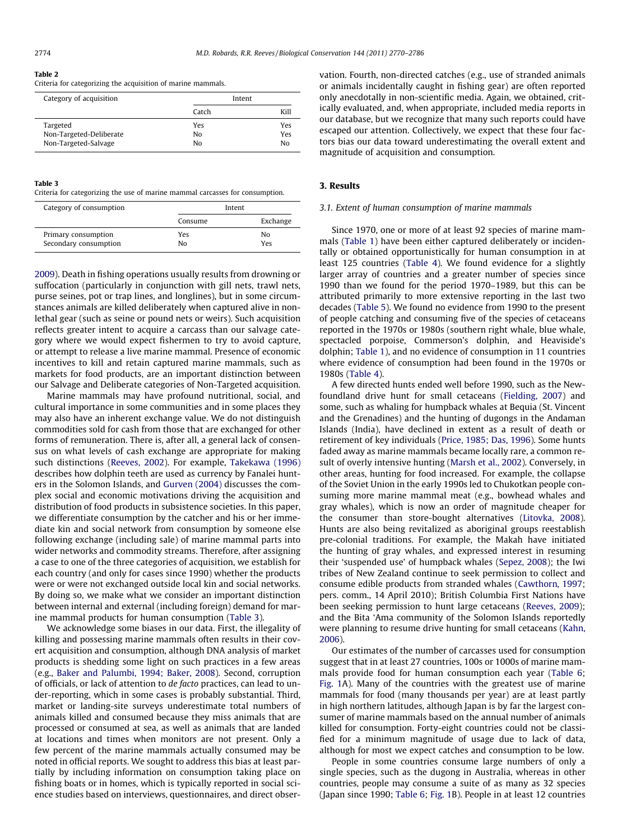<span id="page-4-0"></span>Criteria for categorizing the acquisition of marine mammals.

| Category of acquisition | Intent |      |
|-------------------------|--------|------|
|                         | Catch  | Kill |
| Targeted                | Yes    | Yes  |
| Non-Targeted-Deliberate | No     | Yes  |
| Non-Targeted-Salvage    | No     | No   |

#### Table 3

Criteria for categorizing the use of marine mammal carcasses for consumption.

| Category of consumption                      | Intent    |           |
|----------------------------------------------|-----------|-----------|
|                                              | Consume   | Exchange  |
| Primary consumption<br>Secondary consumption | Yes<br>No | Nο<br>Yes |

[2009\)](#page-15-0). Death in fishing operations usually results from drowning or suffocation (particularly in conjunction with gill nets, trawl nets, purse seines, pot or trap lines, and longlines), but in some circumstances animals are killed deliberately when captured alive in nonlethal gear (such as seine or pound nets or weirs). Such acquisition reflects greater intent to acquire a carcass than our salvage category where we would expect fishermen to try to avoid capture, or attempt to release a live marine mammal. Presence of economic incentives to kill and retain captured marine mammals, such as markets for food products, are an important distinction between our Salvage and Deliberate categories of Non-Targeted acquisition.

Marine mammals may have profound nutritional, social, and cultural importance in some communities and in some places they may also have an inherent exchange value. We do not distinguish commodities sold for cash from those that are exchanged for other forms of remuneration. There is, after all, a general lack of consensus on what levels of cash exchange are appropriate for making such distinctions ([Reeves, 2002](#page-15-0)). For example, [Takekawa \(1996\)](#page-16-0) describes how dolphin teeth are used as currency by Fanalei hunters in the Solomon Islands, and [Gurven \(2004\)](#page-14-0) discusses the complex social and economic motivations driving the acquisition and distribution of food products in subsistence societies. In this paper, we differentiate consumption by the catcher and his or her immediate kin and social network from consumption by someone else following exchange (including sale) of marine mammal parts into wider networks and commodity streams. Therefore, after assigning a case to one of the three categories of acquisition, we establish for each country (and only for cases since 1990) whether the products were or were not exchanged outside local kin and social networks. By doing so, we make what we consider an important distinction between internal and external (including foreign) demand for marine mammal products for human consumption (Table 3).

We acknowledge some biases in our data. First, the illegality of killing and possessing marine mammals often results in their covert acquisition and consumption, although DNA analysis of market products is shedding some light on such practices in a few areas (e.g., [Baker and Palumbi, 1994; Baker, 2008](#page-14-0)). Second, corruption of officials, or lack of attention to de facto practices, can lead to under-reporting, which in some cases is probably substantial. Third, market or landing-site surveys underestimate total numbers of animals killed and consumed because they miss animals that are processed or consumed at sea, as well as animals that are landed at locations and times when monitors are not present. Only a few percent of the marine mammals actually consumed may be noted in official reports. We sought to address this bias at least partially by including information on consumption taking place on fishing boats or in homes, which is typically reported in social science studies based on interviews, questionnaires, and direct observation. Fourth, non-directed catches (e.g., use of stranded animals or animals incidentally caught in fishing gear) are often reported only anecdotally in non-scientific media. Again, we obtained, critically evaluated, and, when appropriate, included media reports in our database, but we recognize that many such reports could have escaped our attention. Collectively, we expect that these four factors bias our data toward underestimating the overall extent and magnitude of acquisition and consumption.

## 3. Results

#### 3.1. Extent of human consumption of marine mammals

Since 1970, one or more of at least 92 species of marine mammals ([Table 1\)](#page-2-0) have been either captured deliberately or incidentally or obtained opportunistically for human consumption in at least 125 countries ([Table 4\)](#page-5-0). We found evidence for a slightly larger array of countries and a greater number of species since 1990 than we found for the period 1970–1989, but this can be attributed primarily to more extensive reporting in the last two decades [\(Table 5](#page-8-0)). We found no evidence from 1990 to the present of people catching and consuming five of the species of cetaceans reported in the 1970s or 1980s (southern right whale, blue whale, spectacled porpoise, Commerson's dolphin, and Heaviside's dolphin; [Table 1](#page-2-0)), and no evidence of consumption in 11 countries where evidence of consumption had been found in the 1970s or 1980s [\(Table 4\)](#page-5-0).

A few directed hunts ended well before 1990, such as the Newfoundland drive hunt for small cetaceans ([Fielding, 2007](#page-14-0)) and some, such as whaling for humpback whales at Bequia (St. Vincent and the Grenadines) and the hunting of dugongs in the Andaman Islands (India), have declined in extent as a result of death or retirement of key individuals ([Price, 1985; Das, 1996\)](#page-15-0). Some hunts faded away as marine mammals became locally rare, a common result of overly intensive hunting [\(Marsh et al., 2002\)](#page-15-0). Conversely, in other areas, hunting for food increased. For example, the collapse of the Soviet Union in the early 1990s led to Chukotkan people consuming more marine mammal meat (e.g., bowhead whales and gray whales), which is now an order of magnitude cheaper for the consumer than store-bought alternatives ([Litovka, 2008\)](#page-15-0). Hunts are also being revitalized as aboriginal groups reestablish pre-colonial traditions. For example, the Makah have initiated the hunting of gray whales, and expressed interest in resuming their 'suspended use' of humpback whales [\(Sepez, 2008\)](#page-15-0); the Iwi tribes of New Zealand continue to seek permission to collect and consume edible products from stranded whales [\(Cawthorn, 1997;](#page-14-0) pers. comm., 14 April 2010); British Columbia First Nations have been seeking permission to hunt large cetaceans ([Reeves, 2009\)](#page-15-0); and the Bita 'Ama community of the Solomon Islands reportedly were planning to resume drive hunting for small cetaceans [\(Kahn,](#page-15-0) [2006\)](#page-15-0).

Our estimates of the number of carcasses used for consumption suggest that in at least 27 countries, 100s or 1000s of marine mammals provide food for human consumption each year ([Table 6;](#page-9-0) [Fig. 1](#page-11-0)A). Many of the countries with the greatest use of marine mammals for food (many thousands per year) are at least partly in high northern latitudes, although Japan is by far the largest consumer of marine mammals based on the annual number of animals killed for consumption. Forty-eight countries could not be classified for a minimum magnitude of usage due to lack of data, although for most we expect catches and consumption to be low.

People in some countries consume large numbers of only a single species, such as the dugong in Australia, whereas in other countries, people may consume a suite of as many as 32 species (Japan since 1990; [Table 6](#page-9-0); [Fig. 1B](#page-11-0)). People in at least 12 countries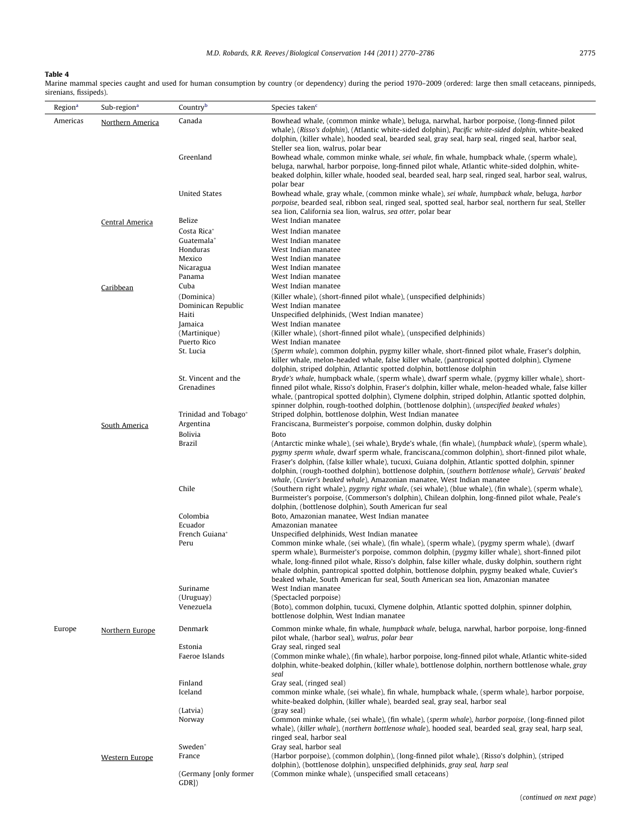<span id="page-5-0"></span>Marine mammal species caught and used for human consumption by country (or dependency) during the period 1970–2009 (ordered: large then small cetaceans, pinnipeds, sirenians, fissipeds).

| Region <sup>a</sup> | Sub-region <sup>a</sup> | Country <sup>b</sup>           | Species taken <sup>c</sup>                                                                                                                                                                                                                                                                                                                                                                                                                                                                |
|---------------------|-------------------------|--------------------------------|-------------------------------------------------------------------------------------------------------------------------------------------------------------------------------------------------------------------------------------------------------------------------------------------------------------------------------------------------------------------------------------------------------------------------------------------------------------------------------------------|
| Americas            | Northern America        | Canada                         | Bowhead whale, (common minke whale), beluga, narwhal, harbor porpoise, (long-finned pilot<br>whale), (Risso's dolphin), (Atlantic white-sided dolphin), Pacific white-sided dolphin, white-beaked<br>dolphin, (killer whale), hooded seal, bearded seal, gray seal, harp seal, ringed seal, harbor seal,                                                                                                                                                                                  |
|                     |                         | Greenland                      | Steller sea lion, walrus, polar bear<br>Bowhead whale, common minke whale, <i>sei whale</i> , fin whale, humpback whale, (sperm whale),<br>beluga, narwhal, harbor porpoise, long-finned pilot whale, Atlantic white-sided dolphin, white-<br>beaked dolphin, killer whale, hooded seal, bearded seal, harp seal, ringed seal, harbor seal, walrus,<br>polar bear                                                                                                                         |
|                     |                         | <b>United States</b>           | Bowhead whale, gray whale, (common minke whale), sei whale, humpback whale, beluga, harbor<br>porpoise, bearded seal, ribbon seal, ringed seal, spotted seal, harbor seal, northern fur seal, Steller<br>sea lion, California sea lion, walrus, sea otter, polar bear                                                                                                                                                                                                                     |
|                     | Central America         | Belize<br>Costa Rica*          | West Indian manatee<br>West Indian manatee                                                                                                                                                                                                                                                                                                                                                                                                                                                |
|                     |                         | Guatemala*                     | West Indian manatee                                                                                                                                                                                                                                                                                                                                                                                                                                                                       |
|                     |                         | Honduras                       | West Indian manatee                                                                                                                                                                                                                                                                                                                                                                                                                                                                       |
|                     |                         | Mexico                         | West Indian manatee                                                                                                                                                                                                                                                                                                                                                                                                                                                                       |
|                     |                         | Nicaragua<br>Panama            | West Indian manatee<br>West Indian manatee                                                                                                                                                                                                                                                                                                                                                                                                                                                |
|                     | Caribbean               | Cuba                           | West Indian manatee                                                                                                                                                                                                                                                                                                                                                                                                                                                                       |
|                     |                         | (Dominica)                     | (Killer whale), (short-finned pilot whale), (unspecified delphinids)                                                                                                                                                                                                                                                                                                                                                                                                                      |
|                     |                         | Dominican Republic             | West Indian manatee                                                                                                                                                                                                                                                                                                                                                                                                                                                                       |
|                     |                         | Haiti<br>Jamaica               | Unspecified delphinids, (West Indian manatee)<br>West Indian manatee                                                                                                                                                                                                                                                                                                                                                                                                                      |
|                     |                         | (Martinique)                   | (Killer whale), (short-finned pilot whale), (unspecified delphinids)                                                                                                                                                                                                                                                                                                                                                                                                                      |
|                     |                         | Puerto Rico                    | West Indian manatee                                                                                                                                                                                                                                                                                                                                                                                                                                                                       |
|                     |                         | St. Lucia                      | (Sperm whale), common dolphin, pygmy killer whale, short-finned pilot whale, Fraser's dolphin,<br>killer whale, melon-headed whale, false killer whale, (pantropical spotted dolphin), Clymene<br>dolphin, striped dolphin, Atlantic spotted dolphin, bottlenose dolphin                                                                                                                                                                                                                  |
|                     |                         | St. Vincent and the            | Bryde's whale, humpback whale, (sperm whale), dwarf sperm whale, (pygmy killer whale), short-                                                                                                                                                                                                                                                                                                                                                                                             |
|                     |                         | Grenadines                     | finned pilot whale, Risso's dolphin, Fraser's dolphin, killer whale, melon-headed whale, false killer<br>whale, (pantropical spotted dolphin), Clymene dolphin, striped dolphin, Atlantic spotted dolphin,<br>spinner dolphin, rough-toothed dolphin, (bottlenose dolphin), (unspecified beaked whales)                                                                                                                                                                                   |
|                     |                         | Trinidad and Tobago*           | Striped dolphin, bottlenose dolphin, West Indian manatee                                                                                                                                                                                                                                                                                                                                                                                                                                  |
|                     | South America           | Argentina                      | Franciscana, Burmeister's porpoise, common dolphin, dusky dolphin                                                                                                                                                                                                                                                                                                                                                                                                                         |
|                     |                         | <b>Bolivia</b>                 | <b>Boto</b>                                                                                                                                                                                                                                                                                                                                                                                                                                                                               |
|                     |                         | Brazil                         | (Antarctic minke whale), (sei whale), Bryde's whale, (fin whale), (humpback whale), (sperm whale),<br>pygmy sperm whale, dwarf sperm whale, franciscana, (common dolphin), short-finned pilot whale,<br>Fraser's dolphin, (false killer whale), tucuxi, Guiana dolphin, Atlantic spotted dolphin, spinner<br>dolphin, (rough-toothed dolphin), bottlenose dolphin, (southern bottlenose whale), Gervais' beaked<br>whale, (Cuvier's beaked whale), Amazonian manatee, West Indian manatee |
|                     |                         | Chile                          | (Southern right whale), pygmy right whale, (sei whale), (blue whale), (fin whale), (sperm whale),<br>Burmeister's porpoise, (Commerson's dolphin), Chilean dolphin, long-finned pilot whale, Peale's<br>dolphin, (bottlenose dolphin), South American fur seal                                                                                                                                                                                                                            |
|                     |                         | Colombia                       | Boto, Amazonian manatee, West Indian manatee                                                                                                                                                                                                                                                                                                                                                                                                                                              |
|                     |                         | Ecuador                        | Amazonian manatee                                                                                                                                                                                                                                                                                                                                                                                                                                                                         |
|                     |                         | French Guiana <sup>*</sup>     | Unspecified delphinids, West Indian manatee                                                                                                                                                                                                                                                                                                                                                                                                                                               |
|                     |                         | Peru                           | Common minke whale, (sei whale), (fin whale), (sperm whale), (pygmy sperm whale), (dwarf<br>sperm whale), Burmeister's porpoise, common dolphin, (pygmy killer whale), short-finned pilot<br>whale, long-finned pilot whale, Risso's dolphin, false killer whale, dusky dolphin, southern right<br>whale dolphin, pantropical spotted dolphin, bottlenose dolphin, pygmy beaked whale, Cuvier's<br>beaked whale, South American fur seal, South American sea lion, Amazonian manatee      |
|                     |                         | Suriname                       | West Indian manatee                                                                                                                                                                                                                                                                                                                                                                                                                                                                       |
|                     |                         | (Uruguay)                      | (Spectacled porpoise)                                                                                                                                                                                                                                                                                                                                                                                                                                                                     |
|                     |                         | Venezuela                      | (Boto), common dolphin, tucuxi, Clymene dolphin, Atlantic spotted dolphin, spinner dolphin,<br>bottlenose dolphin, West Indian manatee                                                                                                                                                                                                                                                                                                                                                    |
| Europe              | Northern Europe         | Denmark                        | Common minke whale, fin whale, <i>humpback whale</i> , beluga, narwhal, harbor porpoise, long-finned<br>pilot whale, (harbor seal), walrus, polar bear                                                                                                                                                                                                                                                                                                                                    |
|                     |                         | Estonia                        | Gray seal, ringed seal                                                                                                                                                                                                                                                                                                                                                                                                                                                                    |
|                     |                         | Faeroe Islands                 | (Common minke whale), (fin whale), harbor porpoise, long-finned pilot whale, Atlantic white-sided<br>dolphin, white-beaked dolphin, (killer whale), bottlenose dolphin, northern bottlenose whale, gray<br>seal                                                                                                                                                                                                                                                                           |
|                     |                         | Finland                        | Gray seal, (ringed seal)                                                                                                                                                                                                                                                                                                                                                                                                                                                                  |
|                     |                         | Iceland                        | common minke whale, (sei whale), fin whale, humpback whale, (sperm whale), harbor porpoise,<br>white-beaked dolphin, (killer whale), bearded seal, gray seal, harbor seal                                                                                                                                                                                                                                                                                                                 |
|                     |                         | (Latvia)<br>Norway             | (gray seal)<br>Common minke whale, (sei whale), (fin whale), (sperm whale), harbor porpoise, (long-finned pilot<br>whale), (killer whale), (northern bottlenose whale), hooded seal, bearded seal, gray seal, harp seal,<br>ringed seal, harbor seal                                                                                                                                                                                                                                      |
|                     |                         | Sweden*                        | Gray seal, harbor seal                                                                                                                                                                                                                                                                                                                                                                                                                                                                    |
|                     | <b>Western Europe</b>   | France                         | (Harbor porpoise), (common dolphin), (long-finned pilot whale), (Risso's dolphin), (striped<br>dolphin), (bottlenose dolphin), unspecified delphinids, gray seal, harp seal                                                                                                                                                                                                                                                                                                               |
|                     |                         | (Germany [only former<br>GDR]) | (Common minke whale), (unspecified small cetaceans)                                                                                                                                                                                                                                                                                                                                                                                                                                       |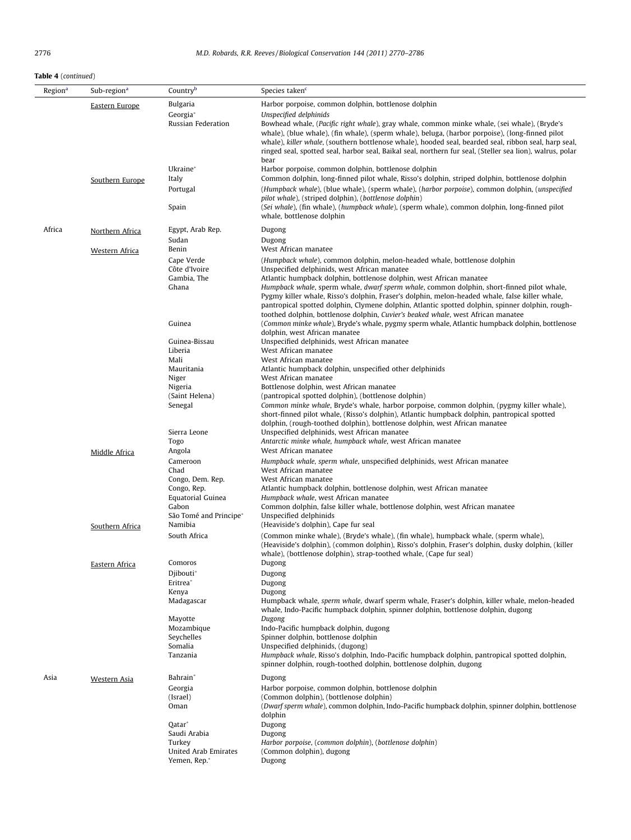#### Table 4 (continued)

| Region <sup>a</sup> | Sub-region <sup>a</sup> | Country <sup>b</sup>   | Species taken <sup>c</sup>                                                                                                                                                                        |
|---------------------|-------------------------|------------------------|---------------------------------------------------------------------------------------------------------------------------------------------------------------------------------------------------|
|                     | <b>Eastern Europe</b>   | Bulgaria               | Harbor porpoise, common dolphin, bottlenose dolphin                                                                                                                                               |
|                     |                         | Georgia*               | Unspecified delphinids                                                                                                                                                                            |
|                     |                         | Russian Federation     | Bowhead whale, (Pacific right whale), gray whale, common minke whale, (sei whale), (Bryde's                                                                                                       |
|                     |                         |                        | whale), (blue whale), (fin whale), (sperm whale), beluga, (harbor porpoise), (long-finned pilot                                                                                                   |
|                     |                         |                        | whale), killer whale, (southern bottlenose whale), hooded seal, bearded seal, ribbon seal, harp seal,                                                                                             |
|                     |                         |                        | ringed seal, spotted seal, harbor seal, Baikal seal, northern fur seal, (Steller sea lion), walrus, polar                                                                                         |
|                     |                         |                        | bear                                                                                                                                                                                              |
|                     |                         | Ukraine*               | Harbor porpoise, common dolphin, bottlenose dolphin                                                                                                                                               |
|                     | Southern Europe         | Italy                  | Common dolphin, long-finned pilot whale, Risso's dolphin, striped dolphin, bottlenose dolphin                                                                                                     |
|                     |                         | Portugal               | (Humpback whale), (blue whale), (sperm whale), (harbor porpoise), common dolphin, (unspecified                                                                                                    |
|                     |                         |                        | pilot whale), (striped dolphin), (bottlenose dolphin)                                                                                                                                             |
|                     |                         | Spain                  | (Sei whale), (fin whale), (humpback whale), (sperm whale), common dolphin, long-finned pilot                                                                                                      |
|                     |                         |                        | whale, bottlenose dolphin                                                                                                                                                                         |
| Africa              | Northern Africa         | Egypt, Arab Rep.       | Dugong                                                                                                                                                                                            |
|                     |                         | Sudan                  | Dugong                                                                                                                                                                                            |
|                     | Western Africa          | Benin                  | West African manatee                                                                                                                                                                              |
|                     |                         | Cape Verde             | (Humpback whale), common dolphin, melon-headed whale, bottlenose dolphin                                                                                                                          |
|                     |                         | Côte d'Ivoire          | Unspecified delphinids, west African manatee                                                                                                                                                      |
|                     |                         | Gambia, The            | Atlantic humpback dolphin, bottlenose dolphin, west African manatee                                                                                                                               |
|                     |                         | Ghana                  | Humpback whale, sperm whale, dwarf sperm whale, common dolphin, short-finned pilot whale,                                                                                                         |
|                     |                         |                        | Pygmy killer whale, Risso's dolphin, Fraser's dolphin, melon-headed whale, false killer whale,<br>pantropical spotted dolphin, Clymene dolphin, Atlantic spotted dolphin, spinner dolphin, rough- |
|                     |                         |                        | toothed dolphin, bottlenose dolphin, Cuvier's beaked whale, west African manatee                                                                                                                  |
|                     |                         | Guinea                 | (Common minke whale), Bryde's whale, pygmy sperm whale, Atlantic humpback dolphin, bottlenose                                                                                                     |
|                     |                         |                        | dolphin, west African manatee                                                                                                                                                                     |
|                     |                         | Guinea-Bissau          | Unspecified delphinids, west African manatee                                                                                                                                                      |
|                     |                         | Liberia                | West African manatee                                                                                                                                                                              |
|                     |                         | Mali                   | West African manatee                                                                                                                                                                              |
|                     |                         | Mauritania             | Atlantic humpback dolphin, unspecified other delphinids                                                                                                                                           |
|                     |                         | Niger                  | West African manatee                                                                                                                                                                              |
|                     |                         | Nigeria                | Bottlenose dolphin, west African manatee                                                                                                                                                          |
|                     |                         | (Saint Helena)         | (pantropical spotted dolphin), (bottlenose dolphin)                                                                                                                                               |
|                     |                         | Senegal                | Common minke whale, Bryde's whale, harbor porpoise, common dolphin, (pygmy killer whale),                                                                                                         |
|                     |                         |                        | short-finned pilot whale, (Risso's dolphin), Atlantic humpback dolphin, pantropical spotted<br>dolphin, (rough-toothed dolphin), bottlenose dolphin, west African manatee                         |
|                     |                         | Sierra Leone           | Unspecified delphinids, west African manatee                                                                                                                                                      |
|                     |                         | Togo                   | Antarctic minke whale, humpback whale, west African manatee                                                                                                                                       |
|                     | Middle Africa           | Angola                 | West African manatee                                                                                                                                                                              |
|                     |                         | Cameroon               | Humpback whale, sperm whale, unspecified delphinids, west African manatee                                                                                                                         |
|                     |                         | Chad                   | West African manatee                                                                                                                                                                              |
|                     |                         | Congo, Dem. Rep.       | West African manatee                                                                                                                                                                              |
|                     |                         | Congo, Rep.            | Atlantic humpback dolphin, bottlenose dolphin, west African manatee                                                                                                                               |
|                     |                         | Equatorial Guinea      | Humpback whale, west African manatee                                                                                                                                                              |
|                     |                         | Gabon                  | Common dolphin, false killer whale, bottlenose dolphin, west African manatee                                                                                                                      |
|                     |                         | São Tomé and Principe* | Unspecified delphinids                                                                                                                                                                            |
|                     | Southern Africa         | Namibia                | (Heaviside's dolphin), Cape fur seal                                                                                                                                                              |
|                     |                         | South Africa           | (Common minke whale), (Bryde's whale), (fin whale), humpback whale, (sperm whale),<br>(Heaviside's dolphin), (common dolphin), Risso's dolphin, Fraser's dolphin, dusky dolphin, (killer          |
|                     |                         |                        | whale), (bottlenose dolphin), strap-toothed whale, (Cape fur seal)                                                                                                                                |
|                     |                         | Comoros                | Dugong                                                                                                                                                                                            |
|                     | Eastern Africa          | Djibouti*              | Dugong                                                                                                                                                                                            |
|                     |                         | Eritrea*               | Dugong                                                                                                                                                                                            |
|                     |                         | Kenya                  | Dugong                                                                                                                                                                                            |
|                     |                         | Madagascar             | Humpback whale, <i>sperm whale</i> , dwarf sperm whale, Fraser's dolphin, killer whale, melon-headed                                                                                              |
|                     |                         |                        | whale, Indo-Pacific humpback dolphin, spinner dolphin, bottlenose dolphin, dugong                                                                                                                 |
|                     |                         | Mayotte                | Dugong                                                                                                                                                                                            |
|                     |                         | Mozambique             | Indo-Pacific humpback dolphin, dugong                                                                                                                                                             |
|                     |                         | Seychelles             | Spinner dolphin, bottlenose dolphin                                                                                                                                                               |
|                     |                         | Somalia                | Unspecified delphinids, (dugong)                                                                                                                                                                  |
|                     |                         | Tanzania               | Humpback whale, Risso's dolphin, Indo-Pacific humpback dolphin, pantropical spotted dolphin,<br>spinner dolphin, rough-toothed dolphin, bottlenose dolphin, dugong                                |
|                     |                         |                        |                                                                                                                                                                                                   |
| Asia                | <b>Western Asia</b>     | Bahrain*               | Dugong                                                                                                                                                                                            |
|                     |                         | Georgia                | Harbor porpoise, common dolphin, bottlenose dolphin                                                                                                                                               |
|                     |                         | (Israel)               | (Common dolphin), (bottlenose dolphin)                                                                                                                                                            |
|                     |                         | Oman                   | (Dwarf sperm whale), common dolphin, Indo-Pacific humpback dolphin, spinner dolphin, bottlenose                                                                                                   |
|                     |                         | Qatar*                 | dolphin<br>Dugong                                                                                                                                                                                 |
|                     |                         | Saudi Arabia           | Dugong                                                                                                                                                                                            |
|                     |                         | Turkey                 | Harbor porpoise, (common dolphin), (bottlenose dolphin)                                                                                                                                           |
|                     |                         | United Arab Emirates   | (Common dolphin), dugong                                                                                                                                                                          |
|                     |                         | Yemen, Rep.*           | Dugong                                                                                                                                                                                            |
|                     |                         |                        |                                                                                                                                                                                                   |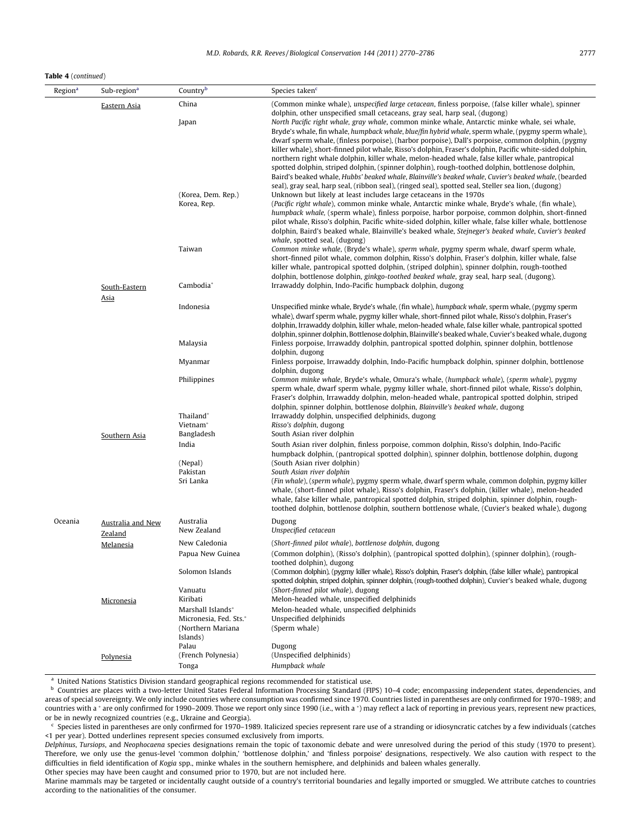<span id="page-7-0"></span>

|  | <b>Table 4</b> (continued) |
|--|----------------------------|
|--|----------------------------|

| Region <sup>a</sup> | Sub-region <sup>a</sup>             | Country <sup>b</sup>                                                         | Species taken <sup>c</sup>                                                                                                                                                                                                                                                                                                                                                                                                                                                                                                                                                                                                                                                                                                                                                                                                                |
|---------------------|-------------------------------------|------------------------------------------------------------------------------|-------------------------------------------------------------------------------------------------------------------------------------------------------------------------------------------------------------------------------------------------------------------------------------------------------------------------------------------------------------------------------------------------------------------------------------------------------------------------------------------------------------------------------------------------------------------------------------------------------------------------------------------------------------------------------------------------------------------------------------------------------------------------------------------------------------------------------------------|
|                     | Eastern Asia                        | China                                                                        | (Common minke whale), <i>unspecified large cetacean</i> , finless porpoise, (false killer whale), spinner<br>dolphin, other unspecified small cetaceans, gray seal, harp seal, (dugong)                                                                                                                                                                                                                                                                                                                                                                                                                                                                                                                                                                                                                                                   |
|                     |                                     | Japan                                                                        | North Pacific right whale, gray whale, common minke whale, Antarctic minke whale, sei whale,<br>Bryde's whale, fin whale, humpback whale, blue/fin hybrid whale, sperm whale, (pygmy sperm whale),<br>dwarf sperm whale, (finless porpoise), (harbor porpoise), Dall's porpoise, common dolphin, (pygmy<br>killer whale), short-finned pilot whale, Risso's dolphin, Fraser's dolphin, Pacific white-sided dolphin,<br>northern right whale dolphin, killer whale, melon-headed whale, false killer whale, pantropical<br>spotted dolphin, striped dolphin, (spinner dolphin), rough-toothed dolphin, bottlenose dolphin,<br>Baird's beaked whale, Hubbs' beaked whale, Blainville's beaked whale, Cuvier's beaked whale, (bearded<br>seal), gray seal, harp seal, (ribbon seal), (ringed seal), spotted seal, Steller sea lion, (dugong) |
|                     |                                     | (Korea, Dem. Rep.)                                                           | Unknown but likely at least includes large cetaceans in the 1970s                                                                                                                                                                                                                                                                                                                                                                                                                                                                                                                                                                                                                                                                                                                                                                         |
|                     |                                     | Korea, Rep.                                                                  | (Pacific right whale), common minke whale, Antarctic minke whale, Bryde's whale, (fin whale),<br>humpback whale, (sperm whale), finless porpoise, harbor porpoise, common dolphin, short-finned<br>pilot whale, Risso's dolphin, Pacific white-sided dolphin, killer whale, false killer whale, bottlenose<br>dolphin, Baird's beaked whale, Blainville's beaked whale, Stejneger's beaked whale, Cuvier's beaked<br>whale, spotted seal, (dugong)                                                                                                                                                                                                                                                                                                                                                                                        |
|                     |                                     | Taiwan                                                                       | Common minke whale, (Bryde's whale), sperm whale, pygmy sperm whale, dwarf sperm whale,<br>short-finned pilot whale, common dolphin, Risso's dolphin, Fraser's dolphin, killer whale, false<br>killer whale, pantropical spotted dolphin, (striped dolphin), spinner dolphin, rough-toothed<br>dolphin, bottlenose dolphin, ginkgo-toothed beaked whale, gray seal, harp seal, (dugong).                                                                                                                                                                                                                                                                                                                                                                                                                                                  |
|                     | South-Eastern<br><u>Asia</u>        | Cambodia*                                                                    | Irrawaddy dolphin, Indo-Pacific humpback dolphin, dugong                                                                                                                                                                                                                                                                                                                                                                                                                                                                                                                                                                                                                                                                                                                                                                                  |
|                     |                                     | Indonesia                                                                    | Unspecified minke whale, Bryde's whale, (fin whale), humpback whale, sperm whale, (pygmy sperm<br>whale), dwarf sperm whale, pygmy killer whale, short-finned pilot whale, Risso's dolphin, Fraser's<br>dolphin, Irrawaddy dolphin, killer whale, melon-headed whale, false killer whale, pantropical spotted<br>dolphin, spinner dolphin, Bottlenose dolphin, Blainville's beaked whale, Cuvier's beaked whale, dugong                                                                                                                                                                                                                                                                                                                                                                                                                   |
|                     |                                     | Malaysia                                                                     | Finless porpoise, Irrawaddy dolphin, pantropical spotted dolphin, spinner dolphin, bottlenose<br>dolphin, dugong                                                                                                                                                                                                                                                                                                                                                                                                                                                                                                                                                                                                                                                                                                                          |
|                     |                                     | Myanmar                                                                      | Finless porpoise, Irrawaddy dolphin, Indo-Pacific humpback dolphin, spinner dolphin, bottlenose<br>dolphin, dugong                                                                                                                                                                                                                                                                                                                                                                                                                                                                                                                                                                                                                                                                                                                        |
|                     |                                     | Philippines                                                                  | Common minke whale, Bryde's whale, Omura's whale, (humpback whale), (sperm whale), pygmy<br>sperm whale, dwarf sperm whale, pygmy killer whale, short-finned pilot whale, Risso's dolphin,<br>Fraser's dolphin, Irrawaddy dolphin, melon-headed whale, pantropical spotted dolphin, striped<br>dolphin, spinner dolphin, bottlenose dolphin, Blainville's beaked whale, dugong                                                                                                                                                                                                                                                                                                                                                                                                                                                            |
|                     |                                     | Thailand <sup>*</sup><br>Vietnam <sup>*</sup>                                | Irrawaddy dolphin, unspecified delphinids, dugong<br>Risso's dolphin, dugong                                                                                                                                                                                                                                                                                                                                                                                                                                                                                                                                                                                                                                                                                                                                                              |
|                     | Southern Asia                       | Bangladesh                                                                   | South Asian river dolphin                                                                                                                                                                                                                                                                                                                                                                                                                                                                                                                                                                                                                                                                                                                                                                                                                 |
|                     |                                     | India<br>(Nepal)                                                             | South Asian river dolphin, finless porpoise, common dolphin, Risso's dolphin, Indo-Pacific<br>humpback dolphin, (pantropical spotted dolphin), spinner dolphin, bottlenose dolphin, dugong<br>(South Asian river dolphin)                                                                                                                                                                                                                                                                                                                                                                                                                                                                                                                                                                                                                 |
|                     |                                     | Pakistan                                                                     | South Asian river dolphin                                                                                                                                                                                                                                                                                                                                                                                                                                                                                                                                                                                                                                                                                                                                                                                                                 |
|                     |                                     | Sri Lanka                                                                    | (Fin whale), (sperm whale), pygmy sperm whale, dwarf sperm whale, common dolphin, pygmy killer<br>whale, (short-finned pilot whale), Risso's dolphin, Fraser's dolphin, (killer whale), melon-headed<br>whale, false killer whale, pantropical spotted dolphin, striped dolphin, spinner dolphin, rough-<br>toothed dolphin, bottlenose dolphin, southern bottlenose whale, (Cuvier's beaked whale), dugong                                                                                                                                                                                                                                                                                                                                                                                                                               |
| Oceania             | Australia and New<br><b>Zealand</b> | Australia<br>New Zealand                                                     | Dugong<br>Unspecified cetacean                                                                                                                                                                                                                                                                                                                                                                                                                                                                                                                                                                                                                                                                                                                                                                                                            |
|                     | Melanesia                           | New Caledonia                                                                | (Short-finned pilot whale), bottlenose dolphin, dugong                                                                                                                                                                                                                                                                                                                                                                                                                                                                                                                                                                                                                                                                                                                                                                                    |
|                     |                                     | Papua New Guinea                                                             | (Common dolphin), (Risso's dolphin), (pantropical spotted dolphin), (spinner dolphin), (rough-<br>toothed dolphin), dugong                                                                                                                                                                                                                                                                                                                                                                                                                                                                                                                                                                                                                                                                                                                |
|                     |                                     | Solomon Islands<br>Vanuatu                                                   | (Common dolphin), (pygmy killer whale), Risso's dolphin, Fraser's dolphin, (false killer whale), pantropical<br>spotted dolphin, striped dolphin, spinner dolphin, (rough-toothed dolphin), Cuvier's beaked whale, dugong<br>(Short-finned pilot whale), dugong                                                                                                                                                                                                                                                                                                                                                                                                                                                                                                                                                                           |
|                     | Micronesia                          | Kiribati                                                                     | Melon-headed whale, unspecified delphinids                                                                                                                                                                                                                                                                                                                                                                                                                                                                                                                                                                                                                                                                                                                                                                                                |
|                     |                                     | Marshall Islands*<br>Micronesia, Fed. Sts.*<br>(Northern Mariana<br>Islands) | Melon-headed whale, unspecified delphinids<br>Unspecified delphinids<br>(Sperm whale)                                                                                                                                                                                                                                                                                                                                                                                                                                                                                                                                                                                                                                                                                                                                                     |
|                     | Polynesia                           | Palau<br>(French Polynesia)                                                  | Dugong<br>(Unspecified delphinids)                                                                                                                                                                                                                                                                                                                                                                                                                                                                                                                                                                                                                                                                                                                                                                                                        |
|                     |                                     | Tonga                                                                        | Humpback whale                                                                                                                                                                                                                                                                                                                                                                                                                                                                                                                                                                                                                                                                                                                                                                                                                            |

<sup>a</sup> United Nations Statistics Division standard geographical regions recommended for statistical use.<br><sup>b</sup> Countries are places with a two letter United States Eederal Information Processing Standard (EU

<sup>b</sup> Countries are places with a two-letter United States Federal Information Processing Standard (FIPS) 10–4 code; encompassing independent states, dependencies, and areas of special sovereignty. We only include countries where consumption was confirmed since 1970. Countries listed in parentheses are only confirmed for 1970–1989; and countries with a " are only confirmed for 1990–2009. Those we report only since 1990 (i.e., with a ") may reflect a lack of reporting in previous years, represent new practices or be in newly recognized countries (e.g., Ukraine and Georgia).

<sup>c</sup> Species listed in parentheses are only confirmed for 1970–1989. Italicized species represent rare use of a stranding or idiosyncratic catches by a few individuals (catches <1 per year). Dotted underlines represent species consumed exclusively from imports.

Delphinus, Tursiops, and Neophocaena species designations remain the topic of taxonomic debate and were unresolved during the period of this study (1970 to present). Therefore, we only use the genus-level 'common dolphin,' 'bottlenose dolphin,' and 'finless porpoise' designations, respectively. We also caution with respect to the difficulties in field identification of Kogia spp., minke whales in the southern hemisphere, and delphinids and baleen whales generally.

Other species may have been caught and consumed prior to 1970, but are not included here.

Marine mammals may be targeted or incidentally caught outside of a country's territorial boundaries and legally imported or smuggled. We attribute catches to countries according to the nationalities of the consumer.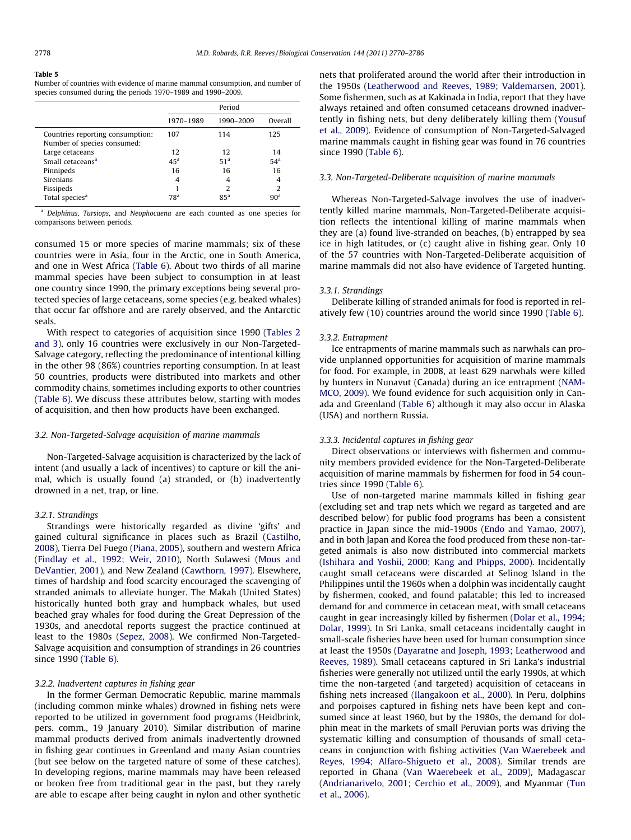<span id="page-8-0"></span>Number of countries with evidence of marine mammal consumption, and number of species consumed during the periods 1970–1989 and 1990–2009.

|                                                                 |                 | Period          |                 |
|-----------------------------------------------------------------|-----------------|-----------------|-----------------|
|                                                                 | 1970-1989       | 1990-2009       | Overall         |
| Countries reporting consumption:<br>Number of species consumed: | 107             | 114             | 125             |
| Large cetaceans                                                 | 12              | 12              | 14              |
| Small cetaceans <sup>a</sup>                                    | 45 <sup>a</sup> | 51 <sup>a</sup> | 54 <sup>a</sup> |
| Pinnipeds                                                       | 16              | 16              | 16              |
| <b>Sirenians</b>                                                | 4               | 4               | 4               |
| Fissipeds                                                       |                 |                 | 2               |
| Total species <sup>a</sup>                                      | 78 <sup>a</sup> | 85 <sup>a</sup> | 90 <sup>a</sup> |

<sup>a</sup> Delphinus, Tursiops, and Neophocaena are each counted as one species for comparisons between periods.

consumed 15 or more species of marine mammals; six of these countries were in Asia, four in the Arctic, one in South America, and one in West Africa [\(Table 6\)](#page-9-0). About two thirds of all marine mammal species have been subject to consumption in at least one country since 1990, the primary exceptions being several protected species of large cetaceans, some species (e.g. beaked whales) that occur far offshore and are rarely observed, and the Antarctic seals.

With respect to categories of acquisition since 1990 ([Tables 2](#page-4-0) [and 3\)](#page-4-0), only 16 countries were exclusively in our Non-Targeted-Salvage category, reflecting the predominance of intentional killing in the other 98 (86%) countries reporting consumption. In at least 50 countries, products were distributed into markets and other commodity chains, sometimes including exports to other countries ([Table 6\)](#page-9-0). We discuss these attributes below, starting with modes of acquisition, and then how products have been exchanged.

#### 3.2. Non-Targeted-Salvage acquisition of marine mammals

Non-Targeted-Salvage acquisition is characterized by the lack of intent (and usually a lack of incentives) to capture or kill the animal, which is usually found (a) stranded, or (b) inadvertently drowned in a net, trap, or line.

#### 3.2.1. Strandings

Strandings were historically regarded as divine 'gifts' and gained cultural significance in places such as Brazil [\(Castilho,](#page-14-0) [2008\)](#page-14-0), Tierra Del Fuego ([Piana, 2005](#page-15-0)), southern and western Africa ([Findlay et al., 1992; Weir, 2010\)](#page-14-0), North Sulawesi [\(Mous and](#page-15-0) [DeVantier, 2001](#page-15-0)), and New Zealand ([Cawthorn, 1997](#page-14-0)). Elsewhere, times of hardship and food scarcity encouraged the scavenging of stranded animals to alleviate hunger. The Makah (United States) historically hunted both gray and humpback whales, but used beached gray whales for food during the Great Depression of the 1930s, and anecdotal reports suggest the practice continued at least to the 1980s ([Sepez, 2008\)](#page-15-0). We confirmed Non-Targeted-Salvage acquisition and consumption of strandings in 26 countries since 1990 [\(Table 6](#page-9-0)).

## 3.2.2. Inadvertent captures in fishing gear

In the former German Democratic Republic, marine mammals (including common minke whales) drowned in fishing nets were reported to be utilized in government food programs (Heidbrink, pers. comm., 19 January 2010). Similar distribution of marine mammal products derived from animals inadvertently drowned in fishing gear continues in Greenland and many Asian countries (but see below on the targeted nature of some of these catches). In developing regions, marine mammals may have been released or broken free from traditional gear in the past, but they rarely are able to escape after being caught in nylon and other synthetic

nets that proliferated around the world after their introduction in the 1950s ([Leatherwood and Reeves, 1989; Valdemarsen, 2001\)](#page-15-0). Some fishermen, such as at Kakinada in India, report that they have always retained and often consumed cetaceans drowned inadvertently in fishing nets, but deny deliberately killing them ([Yousuf](#page-16-0) [et al., 2009](#page-16-0)). Evidence of consumption of Non-Targeted-Salvaged marine mammals caught in fishing gear was found in 76 countries since 1990 [\(Table 6](#page-9-0)).

#### 3.3. Non-Targeted-Deliberate acquisition of marine mammals

Whereas Non-Targeted-Salvage involves the use of inadvertently killed marine mammals, Non-Targeted-Deliberate acquisition reflects the intentional killing of marine mammals when they are (a) found live-stranded on beaches, (b) entrapped by sea ice in high latitudes, or (c) caught alive in fishing gear. Only 10 of the 57 countries with Non-Targeted-Deliberate acquisition of marine mammals did not also have evidence of Targeted hunting.

#### 3.3.1. Strandings

Deliberate killing of stranded animals for food is reported in relatively few (10) countries around the world since 1990 [\(Table 6\)](#page-9-0).

#### 3.3.2. Entrapment

Ice entrapments of marine mammals such as narwhals can provide unplanned opportunities for acquisition of marine mammals for food. For example, in 2008, at least 629 narwhals were killed by hunters in Nunavut (Canada) during an ice entrapment [\(NAM-](#page-15-0)[MCO, 2009\)](#page-15-0). We found evidence for such acquisition only in Canada and Greenland ([Table 6](#page-9-0)) although it may also occur in Alaska (USA) and northern Russia.

#### 3.3.3. Incidental captures in fishing gear

Direct observations or interviews with fishermen and community members provided evidence for the Non-Targeted-Deliberate acquisition of marine mammals by fishermen for food in 54 countries since 1990 ([Table 6](#page-9-0)).

Use of non-targeted marine mammals killed in fishing gear (excluding set and trap nets which we regard as targeted and are described below) for public food programs has been a consistent practice in Japan since the mid-1900s [\(Endo and Yamao, 2007\)](#page-14-0), and in both Japan and Korea the food produced from these non-targeted animals is also now distributed into commercial markets ([Ishihara and Yoshii, 2000; Kang and Phipps, 2000\)](#page-15-0). Incidentally caught small cetaceans were discarded at Selinog Island in the Philippines until the 1960s when a dolphin was incidentally caught by fishermen, cooked, and found palatable; this led to increased demand for and commerce in cetacean meat, with small cetaceans caught in gear increasingly killed by fishermen [\(Dolar et al., 1994;](#page-14-0) [Dolar, 1999](#page-14-0)). In Sri Lanka, small cetaceans incidentally caught in small-scale fisheries have been used for human consumption since at least the 1950s [\(Dayaratne and Joseph, 1993; Leatherwood and](#page-14-0) [Reeves, 1989\)](#page-14-0). Small cetaceans captured in Sri Lanka's industrial fisheries were generally not utilized until the early 1990s, at which time the non-targeted (and targeted) acquisition of cetaceans in fishing nets increased ([Ilangakoon et al., 2000](#page-15-0)). In Peru, dolphins and porpoises captured in fishing nets have been kept and consumed since at least 1960, but by the 1980s, the demand for dolphin meat in the markets of small Peruvian ports was driving the systematic killing and consumption of thousands of small cetaceans in conjunction with fishing activities [\(Van Waerebeek and](#page-16-0) [Reyes, 1994; Alfaro-Shigueto et al., 2008](#page-16-0)). Similar trends are reported in Ghana ([Van Waerebeek et al., 2009\)](#page-16-0), Madagascar ([Andrianarivelo, 2001; Cerchio et al., 2009](#page-14-0)), and Myanmar [\(Tun](#page-16-0) [et al., 2006\)](#page-16-0).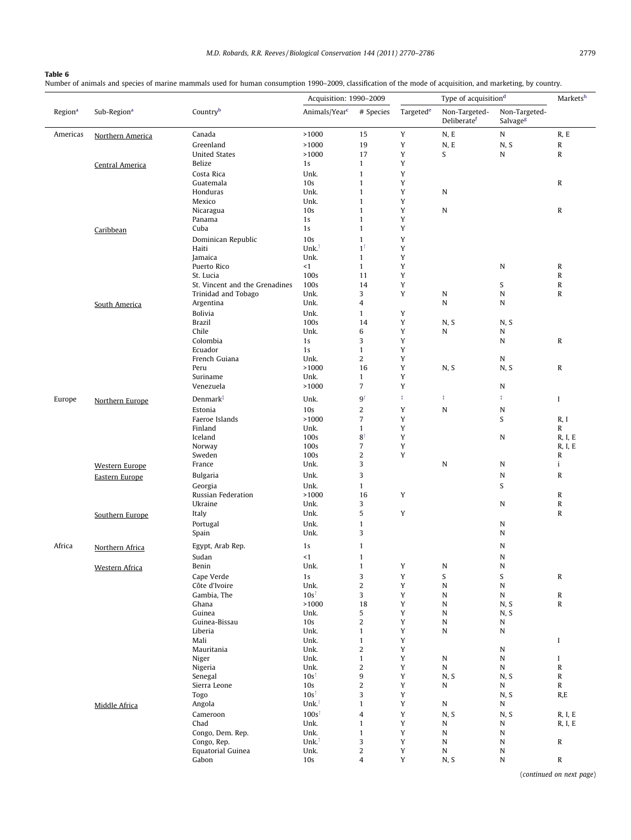<span id="page-9-0"></span>Number of animals and species of marine mammals used for human consumption 1990–2009, classification of the mode of acquisition, and marketing, by country.

|                     |                         |                                  | Acquisition: 1990-2009    |                   |                       | Type of acquisition <sup>d</sup>         | $\tilde{}$                            | $\mathsf{Markets}^{\mathsf{h}}$ |  |
|---------------------|-------------------------|----------------------------------|---------------------------|-------------------|-----------------------|------------------------------------------|---------------------------------------|---------------------------------|--|
| Region <sup>a</sup> | Sub-Region <sup>a</sup> | Countryb                         | Animals/Year <sup>c</sup> | # Species         | Targeted <sup>e</sup> | Non-Targeted-<br>Deliberate <sup>f</sup> | Non-Targeted-<br>Salvage <sup>g</sup> |                                 |  |
| Americas            | Northern America        | Canada                           | >1000                     | 15                | $\mathbf Y$           | N, E                                     | N                                     | R, E                            |  |
|                     |                         | Greenland                        | >1000                     | 19                | Y                     | N, E                                     | N, S                                  | R                               |  |
|                     |                         | <b>United States</b>             | >1000                     | 17                | Y                     | S                                        | N                                     | R                               |  |
|                     | Central America         | Belize                           | 1s                        | $\mathbf{1}$      | Y                     |                                          |                                       |                                 |  |
|                     |                         | Costa Rica                       | Unk.                      | $\mathbf{1}$      | Y                     |                                          |                                       |                                 |  |
|                     |                         | Guatemala                        | 10 <sub>s</sub>           | $\mathbf{1}$      | Y                     |                                          |                                       | $\mathbb{R}$                    |  |
|                     |                         | Honduras                         | Unk.                      | $\mathbf{1}$      | Y                     | N                                        |                                       |                                 |  |
|                     |                         | Mexico                           | Unk.                      | $\mathbf{1}$      | Y                     |                                          |                                       |                                 |  |
|                     |                         | Nicaragua<br>Panama              | 10 <sub>s</sub><br>1s     | 1<br>$\mathbf{1}$ | Y<br>Y                | N                                        |                                       | $\mathbf R$                     |  |
|                     | Caribbean               | Cuba                             | 1s                        | $\mathbf{1}$      | Y                     |                                          |                                       |                                 |  |
|                     |                         | Dominican Republic               | 10 <sub>s</sub>           | $\mathbf{1}$      | Y                     |                                          |                                       |                                 |  |
|                     |                         | Haiti                            | Unk. $†$                  | $1^{\dagger}$     | Y                     |                                          |                                       |                                 |  |
|                     |                         | Jamaica                          | Unk.                      | $\mathbf{1}$      | Y                     |                                          |                                       |                                 |  |
|                     |                         | Puerto Rico                      | $\leq$ 1                  | $\mathbf{1}$      | Y                     |                                          | N                                     | $\mathbb R$                     |  |
|                     |                         | St. Lucia                        | 100s                      | 11                | Y                     |                                          |                                       | $\mathbb R$                     |  |
|                     |                         | St. Vincent and the Grenadines   | 100s                      | 14                | Y                     |                                          | S                                     | $\mathbb R$                     |  |
|                     |                         | Trinidad and Tobago              | Unk.                      | 3                 | Y                     | N                                        | N                                     | R                               |  |
|                     | South America           | Argentina                        | Unk.                      | 4                 |                       | N                                        | N                                     |                                 |  |
|                     |                         | <b>Bolivia</b>                   | Unk.                      | $\mathbf{1}$      | Y                     |                                          |                                       |                                 |  |
|                     |                         | <b>Brazil</b>                    | 100s                      | 14                | Y                     | N, S                                     | N, S                                  |                                 |  |
|                     |                         | Chile<br>Colombia                | Unk.<br>1s                | 6<br>3            | Y<br>Y                | N                                        | N<br>N                                | $\mathbb R$                     |  |
|                     |                         | Ecuador                          | 1s                        | $\mathbf{1}$      | Y                     |                                          |                                       |                                 |  |
|                     |                         | French Guiana                    | Unk.                      | 2                 | Y                     |                                          | N                                     |                                 |  |
|                     |                         | Peru                             | >1000                     | 16                | Y                     | N, S                                     | N, S                                  | R                               |  |
|                     |                         | Suriname                         | Unk.                      | $\mathbf{1}$      | Y                     |                                          |                                       |                                 |  |
|                     |                         | Venezuela                        | >1000                     | $\overline{7}$    | Y                     |                                          | N                                     |                                 |  |
| Europe              | Northern Europe         | Denmark <sup>#</sup>             | Unk.                      | $9^{\uparrow}$    | ŧ                     | ŧ                                        | $\ddagger$                            | I                               |  |
|                     |                         | Estonia                          | 10 <sub>s</sub>           | $\overline{2}$    | Y                     | ${\bf N}$                                | N                                     |                                 |  |
|                     |                         | Faeroe Islands                   | >1000                     | $\overline{7}$    | Y                     |                                          | S                                     | R, I                            |  |
|                     |                         | Finland                          | Unk.                      | $\mathbf{1}$      | Y                     |                                          |                                       | R                               |  |
|                     |                         | Iceland                          | 100s                      | $8^{\dagger}$     | Y                     |                                          | N                                     | R, I, E                         |  |
|                     |                         | Norway                           | 100s                      | 7                 | Y                     |                                          |                                       | R, I, E                         |  |
|                     |                         | Sweden                           | 100s                      | $\boldsymbol{2}$  | Y                     |                                          |                                       | R                               |  |
|                     | <b>Western Europe</b>   | France                           | Unk.                      | 3                 |                       | N                                        | N                                     | $\mathbf{i}$                    |  |
|                     | Eastern Europe          | <b>Bulgaria</b>                  | Unk.                      | 3                 |                       |                                          | N                                     | ${\bf R}$                       |  |
|                     |                         | Georgia                          | Unk.                      | $\mathbf{1}$      |                       |                                          | S                                     |                                 |  |
|                     |                         | Russian Federation               | >1000                     | 16                | Y                     |                                          |                                       | ${\bf R}$                       |  |
|                     |                         | Ukraine                          | Unk.                      | 3                 |                       |                                          | N                                     | R                               |  |
|                     | Southern Europe         | Italy                            | Unk.                      | 5                 | $\mathbf Y$           |                                          |                                       | $\mathbb{R}$                    |  |
|                     |                         | Portugal                         | Unk.                      | $\mathbf{1}$      |                       |                                          | N                                     |                                 |  |
|                     |                         | Spain                            | Unk.                      | 3                 |                       |                                          | N                                     |                                 |  |
| Africa              | Northern Africa         | Egypt, Arab Rep.                 | 1s                        | 1                 |                       |                                          | N                                     |                                 |  |
|                     |                         | Sudan                            | $\leq$ 1                  | $\mathbf{1}$      |                       |                                          | N                                     |                                 |  |
|                     | Western Africa          | Benin                            | Unk.                      | $\mathbf{1}$      | Y                     | N                                        | N                                     |                                 |  |
|                     |                         | Cape Verde                       | 1s                        | 3                 | Y                     | S                                        | S                                     | $\mathbb R$                     |  |
|                     |                         | Côte d'Ivoire                    | Unk.                      | $\overline{a}$    | Y                     | N                                        | ${\bf N}$                             |                                 |  |
|                     |                         | Gambia, The                      | $10s^{\dagger}$           | 3                 | Y                     | N                                        | N                                     | $\mathbb R$                     |  |
|                     |                         | Ghana                            | >1000                     | 18                | Y                     | N                                        | N, S                                  | $\mathbf R$                     |  |
|                     |                         | Guinea                           | Unk.<br>10 <sub>s</sub>   | 5<br>2            | Y                     | N                                        | N, S                                  |                                 |  |
|                     |                         | Guinea-Bissau<br>Liberia         | Unk.                      | $\mathbf{1}$      | Y<br>Y                | N<br>${\bf N}$                           | N<br>N                                |                                 |  |
|                     |                         | Mali                             | Unk.                      | $\mathbf{1}$      | Y                     |                                          |                                       | $\bf{I}$                        |  |
|                     |                         | Mauritania                       | Unk.                      | $\overline{a}$    | Y                     |                                          | N                                     |                                 |  |
|                     |                         | Niger                            | Unk.                      | $\mathbf{1}$      | Y                     | N                                        | N                                     | I                               |  |
|                     |                         | Nigeria                          | Unk.                      | $\overline{2}$    | Y                     | N                                        | N                                     | ${\mathbb R}$                   |  |
|                     |                         | Senegal                          | $10s^{\dagger}$           | 9                 | Y                     | N, S                                     | N, S                                  | $\mathbb R$                     |  |
|                     |                         | Sierra Leone                     | 10 <sub>s</sub>           | $\overline{2}$    | Y                     | N                                        | N                                     | R                               |  |
|                     |                         | Togo                             | $10s^{\dagger}$           | 3                 | Y                     |                                          | N, S                                  | R,E                             |  |
|                     | Middle Africa           | Angola                           | Unk $†$                   | $\mathbf{1}$      | Y                     | ${\bf N}$                                | ${\bf N}$                             |                                 |  |
|                     |                         | Cameroon                         | $100s$ <sup>†</sup>       | 4                 | Y                     | N, S                                     | N, S                                  | R, I, E                         |  |
|                     |                         | Chad                             | Unk.                      | $\mathbf{1}$      | Y                     | N                                        | N                                     | R, I, E                         |  |
|                     |                         | Congo, Dem. Rep.                 | Unk.                      | $\mathbf{1}$<br>3 | Y<br>Y                | N                                        | N                                     |                                 |  |
|                     |                         | Congo, Rep.<br>Equatorial Guinea | Unk. $^{\dagger}$<br>Unk. | $\overline{a}$    | Y                     | ${\bf N}$<br>N                           | ${\bf N}$<br>N                        | ${\bf R}$                       |  |
|                     |                         | Gabon                            | 10 <sub>s</sub>           | $\overline{4}$    | Y                     | N, S                                     | N                                     | $\mathbf R$                     |  |
|                     |                         |                                  |                           |                   |                       |                                          |                                       |                                 |  |

(continued on next page)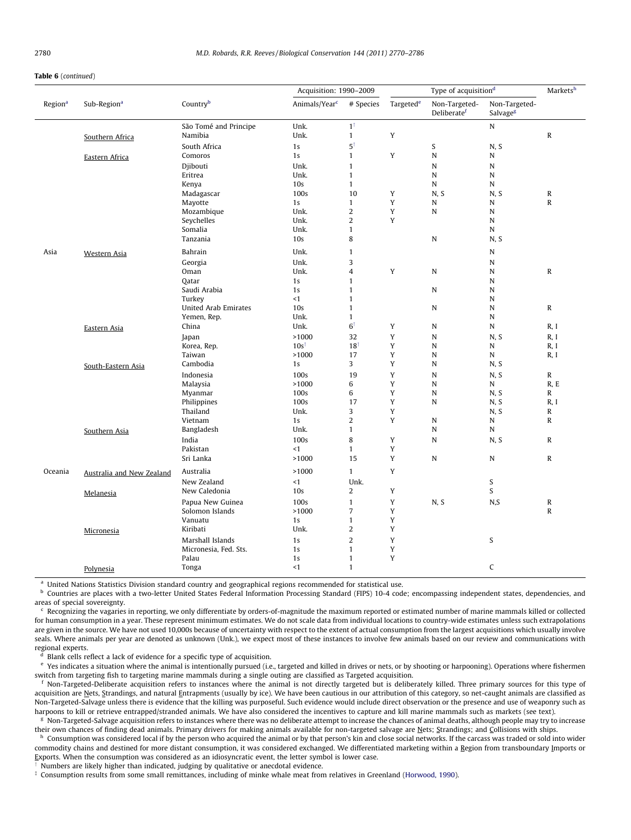#### <span id="page-10-0"></span>Table 6 (continued)

|                     | Sub-Region <sup>a</sup>   | Countryb              | Acquisition: 1990-2009    |                   |                       | Type of acquisition <sup>d</sup>         |                                       |                     |
|---------------------|---------------------------|-----------------------|---------------------------|-------------------|-----------------------|------------------------------------------|---------------------------------------|---------------------|
| Region <sup>a</sup> |                           |                       | Animals/Year <sup>c</sup> | # Species         | Targeted <sup>e</sup> | Non-Targeted-<br>Deliberate <sup>f</sup> | Non-Targeted-<br>Salvage <sup>g</sup> |                     |
| Asia                | Southern Africa           | São Tomé and Principe | Unk.                      | $1^\uparrow$      |                       |                                          | N                                     |                     |
|                     |                           | Namibia               | Unk.                      | $\mathbf{1}$      | Y                     |                                          |                                       | ${\mathbb R}$       |
|                     |                           | South Africa          | 1s                        | $5^{\dagger}$     |                       | S                                        | N, S                                  |                     |
|                     | Eastern Africa            | Comoros               | 1s                        | $\mathbf{1}$      | Y                     | ${\bf N}$                                | N                                     |                     |
|                     |                           | Djibouti              | Unk.                      | $\mathbf{1}$      |                       | ${\bf N}$                                | ${\bf N}$                             |                     |
|                     |                           | Eritrea               | Unk.                      | $\mathbf{1}$      |                       | ${\bf N}$                                | ${\bf N}$                             |                     |
|                     |                           | Kenya                 | 10 <sub>s</sub>           | $\mathbf{1}$      |                       | ${\bf N}$                                | N                                     |                     |
|                     |                           | Madagascar            | 100s                      | 10                | Y                     | N, S                                     | N, S                                  | ${\tt R}$           |
|                     |                           | Mayotte               | 1s                        | $\mathbf{1}$      | Y                     | ${\bf N}$                                | ${\bf N}$                             | ${\mathbb R}$       |
|                     |                           | Mozambique            | Unk.                      | $\overline{2}$    | Y                     | ${\bf N}$                                | ${\bf N}$                             |                     |
|                     |                           | Seychelles            | Unk.                      | $\overline{2}$    | Y                     |                                          | ${\bf N}$                             |                     |
|                     |                           | Somalia<br>Tanzania   | Unk.<br>10 <sub>s</sub>   | $\mathbf{1}$<br>8 |                       | ${\bf N}$                                | N<br>N, S                             |                     |
|                     |                           |                       |                           |                   |                       |                                          |                                       |                     |
|                     | Western Asia              | Bahrain               | Unk.                      | $\mathbf{1}$      |                       |                                          | N                                     |                     |
|                     |                           | Georgia               | Unk.                      | 3                 |                       |                                          | ${\bf N}$                             |                     |
|                     |                           | Oman                  | Unk.                      | $\overline{4}$    | Y                     | ${\bf N}$                                | N                                     | $\mathbb{R}$        |
|                     |                           | Qatar                 | 1s                        | $\mathbf{1}$      |                       |                                          | N                                     |                     |
|                     |                           | Saudi Arabia          | 1s                        | $\mathbf{1}$      |                       | N                                        | N                                     |                     |
|                     |                           | Turkey                | <1                        | $\mathbf{1}$      |                       |                                          | N                                     |                     |
|                     |                           | United Arab Emirates  | 10 <sub>s</sub>           | $\mathbf{1}$      |                       | N                                        | N                                     | $\mathbb R$         |
|                     |                           | Yemen, Rep.           | Unk.                      | $\mathbf{1}$      |                       |                                          | N                                     |                     |
|                     | Eastern Asia              | China                 | Unk.                      | $6^{\dagger}$     | Y                     | N                                        | N                                     | R, I                |
|                     |                           | Japan                 | >1000                     | 32                | Y                     | ${\bf N}$                                | N, S                                  | R, I                |
|                     |                           | Korea, Rep.           | $10s^{\dagger}$           | $18^{\dagger}$    | Y                     | N                                        | N                                     | R, I                |
|                     | South-Eastern Asia        | Taiwan<br>Cambodia    | >1000<br>1s               | 17<br>3           | Y<br>Y                | ${\bf N}$<br>N                           | ${\bf N}$<br>N, S                     | R, I                |
|                     |                           |                       |                           |                   |                       |                                          |                                       |                     |
|                     |                           | Indonesia             | 100s                      | 19<br>6           | Y<br>Y                | ${\bf N}$                                | N, S                                  | ${\bf R}$           |
| Oceania             |                           | Malaysia<br>Myanmar   | >1000<br>100s             | 6                 | Y                     | N<br>${\bf N}$                           | N<br>N, S                             | R, E<br>$\mathbf R$ |
|                     |                           | Philippines           | 100s                      | 17                | Y                     | ${\bf N}$                                | N, S                                  | R, I                |
|                     |                           | Thailand              | Unk.                      | 3                 | Y                     |                                          | N, S                                  | ${\tt R}$           |
|                     |                           | Vietnam               | 1s                        | $\boldsymbol{2}$  | Y                     | N                                        | N                                     | ${\tt R}$           |
|                     | Southern Asia             | Bangladesh            | Unk.                      | $\mathbf{1}$      |                       | N                                        | N                                     |                     |
|                     |                           | India                 | 100s                      | 8                 | Y                     | ${\bf N}$                                | N, S                                  | ${\mathbb R}$       |
|                     |                           | Pakistan              | $\leq 1$                  | $\mathbf{1}$      | Y                     |                                          |                                       |                     |
|                     |                           | Sri Lanka             | >1000                     | 15                | Y                     | ${\bf N}$                                | ${\bf N}$                             | ${\mathbb R}$       |
|                     | Australia and New Zealand | Australia             | >1000                     | $\mathbf{1}$      | Y                     |                                          |                                       |                     |
|                     |                           | New Zealand           | $\leq$ 1                  | Unk.              |                       |                                          | S                                     |                     |
|                     |                           | New Caledonia         | 10 <sub>s</sub>           | 2                 | Y                     |                                          | S                                     |                     |
|                     | Melanesia                 | Papua New Guinea      | 100s                      | $\mathbf{1}$      | Y                     |                                          |                                       |                     |
|                     |                           | Solomon Islands       | >1000                     | $\overline{7}$    | Y                     | N, S                                     | N, S                                  | R<br>${\mathbb R}$  |
|                     |                           | Vanuatu               | 1s                        | $\mathbf{1}$      | Y                     |                                          |                                       |                     |
|                     | Micronesia                | Kiribati              | Unk.                      | $\overline{2}$    | Y                     |                                          |                                       |                     |
|                     |                           | Marshall Islands      | 1s                        | $\overline{2}$    | $\mathbf Y$           |                                          | S                                     |                     |
|                     |                           | Micronesia, Fed. Sts. | 1s                        | $\mathbf{1}$      | $\mathbf Y$           |                                          |                                       |                     |
|                     |                           | Palau                 | 1s                        | $\mathbf{1}$      | Y                     |                                          |                                       |                     |
|                     | Polynesia                 | Tonga                 | $\leq$ 1                  | $\mathbf{1}$      |                       |                                          | C                                     |                     |
|                     |                           |                       |                           |                   |                       |                                          |                                       |                     |

<sup>a</sup> United Nations Statistics Division standard country and geographical regions recommended for statistical use.

<sup>b</sup> Countries are places with a two-letter United States Federal Information Processing Standard (FIPS) 10-4 code; encompassing independent states, dependencies, and areas of special sovereignty.

Recognizing the vagaries in reporting, we only differentiate by orders-of-magnitude the maximum reported or estimated number of marine mammals killed or collected for human consumption in a year. These represent minimum estimates. We do not scale data from individual locations to country-wide estimates unless such extrapolations are given in the source. We have not used 10,000s because of uncertainty with respect to the extent of actual consumption from the largest acquisitions which usually involve seals. Where animals per year are denoted as unknown (Unk.), we expect most of these instances to involve few animals based on our review and communications with regional experts.

Blank cells reflect a lack of evidence for a specific type of acquisition.

Yes indicates a situation where the animal is intentionally pursued (i.e., targeted and killed in drives or nets, or by shooting or harpooning). Operations where fishermen switch from targeting fish to targeting marine mammals during a single outing are classified as Targeted acquisition.

<sup>f</sup> Non-Targeted-Deliberate acquisition refers to instances where the animal is not directly targeted but is deliberately killed. Three primary sources for this type of acquisition are Nets, Strandings, and natural Entrapments (usually by ice). We have been cautious in our attribution of this category, so net-caught animals are classified as Non-Targeted-Salvage unless there is evidence that the killing was purposeful. Such evidence would include direct observation or the presence and use of weaponry such as harpoons to kill or retrieve entrapped/stranded animals. We have also considered the incentives to capture and kill marine mammals such as markets (see text).

<sup>g</sup> Non-Targeted-Salvage acquisition refers to instances where there was no deliberate attempt to increase the chances of animal deaths, although people may try to increase their own chances of finding dead animals. Primary drivers for making animals available for non-targeted salvage are Nets; Strandings; and Collisions with ships.

h Consumption was considered local if by the person who acquired the animal or by that person's kin and close social networks. If the carcass was traded or sold into wider commodity chains and destined for more distant consumption, it was considered exchanged. We differentiated marketing within a Region from transboundary Imports or Exports. When the consumption was considered as an idiosyncratic event, the letter symbol is lower case.

Numbers are likely higher than indicated, judging by qualitative or anecdotal evidence.

Consumption results from some small remittances, including of minke whale meat from relatives in Greenland ([Horwood, 1990\)](#page-15-0).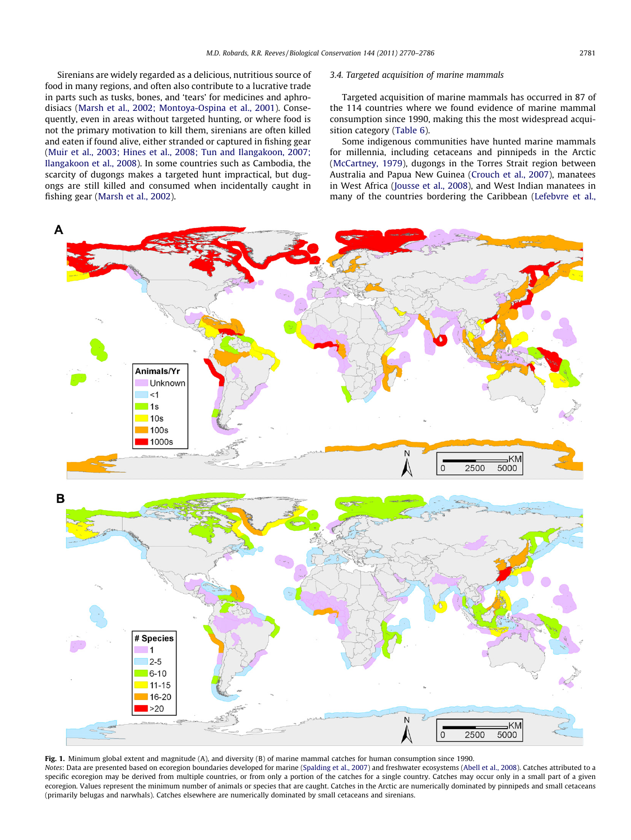<span id="page-11-0"></span>Sirenians are widely regarded as a delicious, nutritious source of food in many regions, and often also contribute to a lucrative trade in parts such as tusks, bones, and 'tears' for medicines and aphrodisiacs [\(Marsh et al., 2002; Montoya-Ospina et al., 2001\)](#page-15-0). Consequently, even in areas without targeted hunting, or where food is not the primary motivation to kill them, sirenians are often killed and eaten if found alive, either stranded or captured in fishing gear ([Muir et al., 2003; Hines et al., 2008; Tun and Ilangakoon, 2007;](#page-15-0) [Ilangakoon et al., 2008](#page-15-0)). In some countries such as Cambodia, the scarcity of dugongs makes a targeted hunt impractical, but dugongs are still killed and consumed when incidentally caught in fishing gear ([Marsh et al., 2002](#page-15-0)).

#### 3.4. Targeted acquisition of marine mammals

Targeted acquisition of marine mammals has occurred in 87 of the 114 countries where we found evidence of marine mammal consumption since 1990, making this the most widespread acquisition category [\(Table 6](#page-9-0)).

Some indigenous communities have hunted marine mammals for millennia, including cetaceans and pinnipeds in the Arctic ([McCartney, 1979](#page-15-0)), dugongs in the Torres Strait region between Australia and Papua New Guinea [\(Crouch et al., 2007](#page-14-0)), manatees in West Africa [\(Jousse et al., 2008\)](#page-15-0), and West Indian manatees in many of the countries bordering the Caribbean ([Lefebvre et al.,](#page-15-0)



Fig. 1. Minimum global extent and magnitude (A), and diversity (B) of marine mammal catches for human consumption since 1990. Notes: Data are presented based on ecoregion boundaries developed for marine [\(Spalding et al., 2007](#page-16-0)) and freshwater ecosystems ([Abell et al., 2008](#page-14-0)). Catches attributed to a specific ecoregion may be derived from multiple countries, or from only a portion of the catches for a single country. Catches may occur only in a small part of a given ecoregion. Values represent the minimum number of animals or species that are caught. Catches in the Arctic are numerically dominated by pinnipeds and small cetaceans (primarily belugas and narwhals). Catches elsewhere are numerically dominated by small cetaceans and sirenians.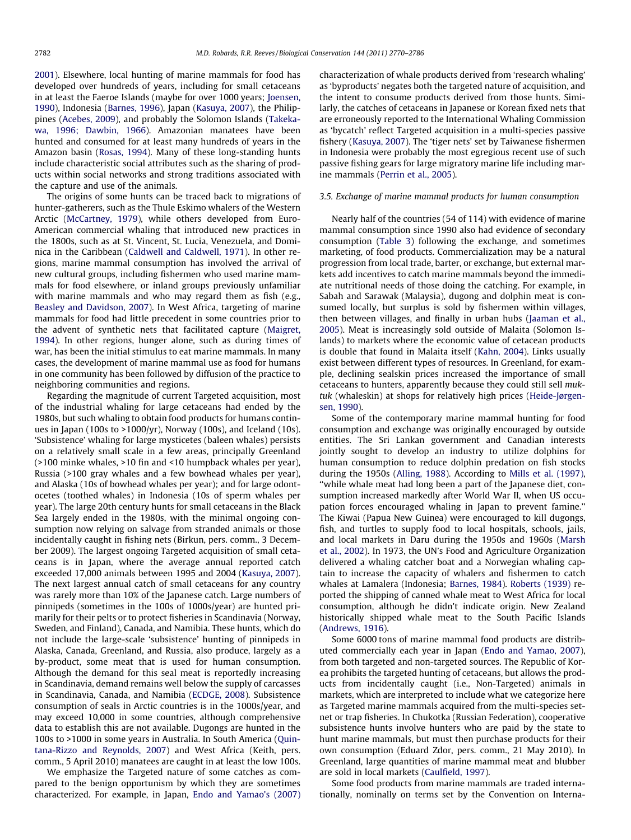[2001\)](#page-15-0). Elsewhere, local hunting of marine mammals for food has developed over hundreds of years, including for small cetaceans in at least the Faeroe Islands (maybe for over 1000 years; [Joensen,](#page-15-0) [1990\)](#page-15-0), Indonesia ([Barnes, 1996\)](#page-14-0), Japan [\(Kasuya, 2007\)](#page-15-0), the Philippines ([Acebes, 2009\)](#page-14-0), and probably the Solomon Islands [\(Takeka](#page-16-0)[wa, 1996; Dawbin, 1966\)](#page-16-0). Amazonian manatees have been hunted and consumed for at least many hundreds of years in the Amazon basin [\(Rosas, 1994](#page-15-0)). Many of these long-standing hunts include characteristic social attributes such as the sharing of products within social networks and strong traditions associated with the capture and use of the animals.

The origins of some hunts can be traced back to migrations of hunter-gatherers, such as the Thule Eskimo whalers of the Western Arctic [\(McCartney, 1979](#page-15-0)), while others developed from Euro-American commercial whaling that introduced new practices in the 1800s, such as at St. Vincent, St. Lucia, Venezuela, and Dominica in the Caribbean [\(Caldwell and Caldwell, 1971\)](#page-14-0). In other regions, marine mammal consumption has involved the arrival of new cultural groups, including fishermen who used marine mammals for food elsewhere, or inland groups previously unfamiliar with marine mammals and who may regard them as fish (e.g., [Beasley and Davidson, 2007](#page-14-0)). In West Africa, targeting of marine mammals for food had little precedent in some countries prior to the advent of synthetic nets that facilitated capture [\(Maigret,](#page-15-0) [1994\)](#page-15-0). In other regions, hunger alone, such as during times of war, has been the initial stimulus to eat marine mammals. In many cases, the development of marine mammal use as food for humans in one community has been followed by diffusion of the practice to neighboring communities and regions.

Regarding the magnitude of current Targeted acquisition, most of the industrial whaling for large cetaceans had ended by the 1980s, but such whaling to obtain food products for humans continues in Japan (100s to >1000/yr), Norway (100s), and Iceland (10s). 'Subsistence' whaling for large mysticetes (baleen whales) persists on a relatively small scale in a few areas, principally Greenland (>100 minke whales, >10 fin and <10 humpback whales per year), Russia (>100 gray whales and a few bowhead whales per year), and Alaska (10s of bowhead whales per year); and for large odontocetes (toothed whales) in Indonesia (10s of sperm whales per year). The large 20th century hunts for small cetaceans in the Black Sea largely ended in the 1980s, with the minimal ongoing consumption now relying on salvage from stranded animals or those incidentally caught in fishing nets (Birkun, pers. comm., 3 December 2009). The largest ongoing Targeted acquisition of small cetaceans is in Japan, where the average annual reported catch exceeded 17,000 animals between 1995 and 2004 ([Kasuya, 2007\)](#page-15-0). The next largest annual catch of small cetaceans for any country was rarely more than 10% of the Japanese catch. Large numbers of pinnipeds (sometimes in the 100s of 1000s/year) are hunted primarily for their pelts or to protect fisheries in Scandinavia (Norway, Sweden, and Finland), Canada, and Namibia. These hunts, which do not include the large-scale 'subsistence' hunting of pinnipeds in Alaska, Canada, Greenland, and Russia, also produce, largely as a by-product, some meat that is used for human consumption. Although the demand for this seal meat is reportedly increasing in Scandinavia, demand remains well below the supply of carcasses in Scandinavia, Canada, and Namibia ([ECDGE, 2008](#page-14-0)). Subsistence consumption of seals in Arctic countries is in the 1000s/year, and may exceed 10,000 in some countries, although comprehensive data to establish this are not available. Dugongs are hunted in the 100s to >1000 in some years in Australia. In South America [\(Quin](#page-15-0)[tana-Rizzo and Reynolds, 2007\)](#page-15-0) and West Africa (Keith, pers. comm., 5 April 2010) manatees are caught in at least the low 100s.

We emphasize the Targeted nature of some catches as compared to the benign opportunism by which they are sometimes characterized. For example, in Japan, [Endo and Yamao's \(2007\)](#page-14-0) characterization of whale products derived from 'research whaling' as 'byproducts' negates both the targeted nature of acquisition, and the intent to consume products derived from those hunts. Similarly, the catches of cetaceans in Japanese or Korean fixed nets that are erroneously reported to the International Whaling Commission as 'bycatch' reflect Targeted acquisition in a multi-species passive fishery ([Kasuya, 2007\)](#page-15-0). The 'tiger nets' set by Taiwanese fishermen in Indonesia were probably the most egregious recent use of such passive fishing gears for large migratory marine life including marine mammals [\(Perrin et al., 2005\)](#page-15-0).

#### 3.5. Exchange of marine mammal products for human consumption

Nearly half of the countries (54 of 114) with evidence of marine mammal consumption since 1990 also had evidence of secondary consumption ([Table 3\)](#page-4-0) following the exchange, and sometimes marketing, of food products. Commercialization may be a natural progression from local trade, barter, or exchange, but external markets add incentives to catch marine mammals beyond the immediate nutritional needs of those doing the catching. For example, in Sabah and Sarawak (Malaysia), dugong and dolphin meat is consumed locally, but surplus is sold by fishermen within villages, then between villages, and finally in urban hubs ([Jaaman et al.,](#page-15-0) [2005\)](#page-15-0). Meat is increasingly sold outside of Malaita (Solomon Islands) to markets where the economic value of cetacean products is double that found in Malaita itself [\(Kahn, 2004](#page-15-0)). Links usually exist between different types of resources. In Greenland, for example, declining sealskin prices increased the importance of small cetaceans to hunters, apparently because they could still sell muktuk (whaleskin) at shops for relatively high prices [\(Heide-Jørgen](#page-14-0)[sen, 1990](#page-14-0)).

Some of the contemporary marine mammal hunting for food consumption and exchange was originally encouraged by outside entities. The Sri Lankan government and Canadian interests jointly sought to develop an industry to utilize dolphins for human consumption to reduce dolphin predation on fish stocks during the 1950s ([Alling, 1988\)](#page-14-0). According to [Mills et al. \(1997\),](#page-15-0) ''while whale meat had long been a part of the Japanese diet, consumption increased markedly after World War II, when US occupation forces encouraged whaling in Japan to prevent famine.'' The Kiwai (Papua New Guinea) were encouraged to kill dugongs, fish, and turtles to supply food to local hospitals, schools, jails, and local markets in Daru during the 1950s and 1960s ([Marsh](#page-15-0) [et al., 2002](#page-15-0)). In 1973, the UN's Food and Agriculture Organization delivered a whaling catcher boat and a Norwegian whaling captain to increase the capacity of whalers and fishermen to catch whales at Lamalera (Indonesia; [Barnes, 1984](#page-14-0)). [Roberts \(1939\)](#page-15-0) reported the shipping of canned whale meat to West Africa for local consumption, although he didn't indicate origin. New Zealand historically shipped whale meat to the South Pacific Islands ([Andrews, 1916](#page-14-0)).

Some 6000 tons of marine mammal food products are distributed commercially each year in Japan [\(Endo and Yamao, 2007\)](#page-14-0), from both targeted and non-targeted sources. The Republic of Korea prohibits the targeted hunting of cetaceans, but allows the products from incidentally caught (i.e., Non-Targeted) animals in markets, which are interpreted to include what we categorize here as Targeted marine mammals acquired from the multi-species setnet or trap fisheries. In Chukotka (Russian Federation), cooperative subsistence hunts involve hunters who are paid by the state to hunt marine mammals, but must then purchase products for their own consumption (Eduard Zdor, pers. comm., 21 May 2010). In Greenland, large quantities of marine mammal meat and blubber are sold in local markets [\(Caulfield, 1997](#page-14-0)).

Some food products from marine mammals are traded internationally, nominally on terms set by the Convention on Interna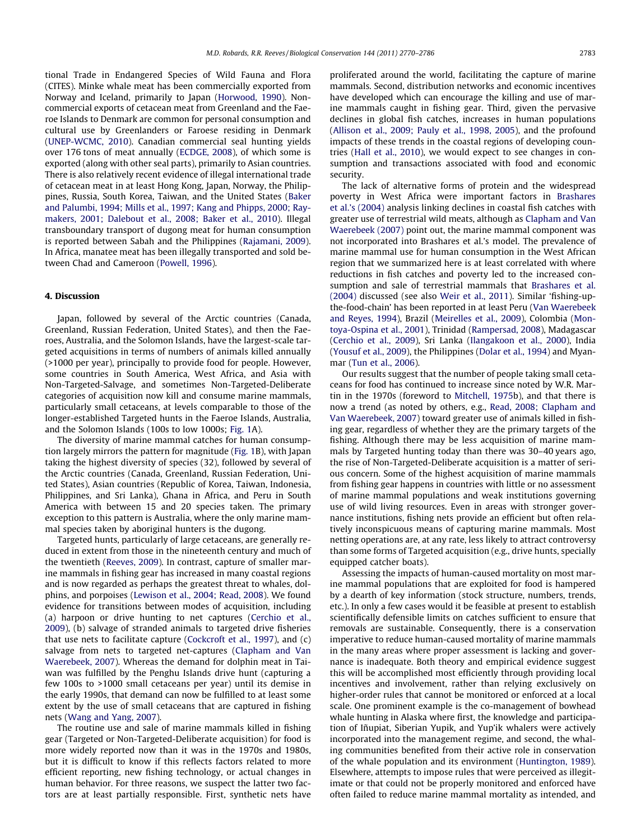tional Trade in Endangered Species of Wild Fauna and Flora (CITES). Minke whale meat has been commercially exported from Norway and Iceland, primarily to Japan ([Horwood, 1990\)](#page-15-0). Noncommercial exports of cetacean meat from Greenland and the Faeroe Islands to Denmark are common for personal consumption and cultural use by Greenlanders or Faroese residing in Denmark ([UNEP-WCMC, 2010](#page-16-0)). Canadian commercial seal hunting yields over 176 tons of meat annually ([ECDGE, 2008](#page-14-0)), of which some is exported (along with other seal parts), primarily to Asian countries. There is also relatively recent evidence of illegal international trade of cetacean meat in at least Hong Kong, Japan, Norway, the Philippines, Russia, South Korea, Taiwan, and the United States [\(Baker](#page-14-0) [and Palumbi, 1994; Mills et al., 1997; Kang and Phipps, 2000; Ray](#page-14-0)[makers, 2001; Dalebout et al., 2008; Baker et al., 2010\)](#page-14-0). Illegal transboundary transport of dugong meat for human consumption is reported between Sabah and the Philippines [\(Rajamani, 2009\)](#page-15-0). In Africa, manatee meat has been illegally transported and sold between Chad and Cameroon [\(Powell, 1996](#page-15-0)).

## 4. Discussion

Japan, followed by several of the Arctic countries (Canada, Greenland, Russian Federation, United States), and then the Faeroes, Australia, and the Solomon Islands, have the largest-scale targeted acquisitions in terms of numbers of animals killed annually (>1000 per year), principally to provide food for people. However, some countries in South America, West Africa, and Asia with Non-Targeted-Salvage, and sometimes Non-Targeted-Deliberate categories of acquisition now kill and consume marine mammals, particularly small cetaceans, at levels comparable to those of the longer-established Targeted hunts in the Faeroe Islands, Australia, and the Solomon Islands (100s to low 1000s; [Fig. 1A](#page-11-0)).

The diversity of marine mammal catches for human consumption largely mirrors the pattern for magnitude [\(Fig. 1](#page-11-0)B), with Japan taking the highest diversity of species (32), followed by several of the Arctic countries (Canada, Greenland, Russian Federation, United States), Asian countries (Republic of Korea, Taiwan, Indonesia, Philippines, and Sri Lanka), Ghana in Africa, and Peru in South America with between 15 and 20 species taken. The primary exception to this pattern is Australia, where the only marine mammal species taken by aboriginal hunters is the dugong.

Targeted hunts, particularly of large cetaceans, are generally reduced in extent from those in the nineteenth century and much of the twentieth [\(Reeves, 2009\)](#page-15-0). In contrast, capture of smaller marine mammals in fishing gear has increased in many coastal regions and is now regarded as perhaps the greatest threat to whales, dolphins, and porpoises [\(Lewison et al., 2004; Read, 2008\)](#page-15-0). We found evidence for transitions between modes of acquisition, including (a) harpoon or drive hunting to net captures [\(Cerchio et al.,](#page-14-0) [2009](#page-14-0)), (b) salvage of stranded animals to targeted drive fisheries that use nets to facilitate capture [\(Cockcroft et al., 1997\)](#page-14-0), and (c) salvage from nets to targeted net-captures [\(Clapham and Van](#page-14-0) [Waerebeek, 2007\)](#page-14-0). Whereas the demand for dolphin meat in Taiwan was fulfilled by the Penghu Islands drive hunt (capturing a few 100s to >1000 small cetaceans per year) until its demise in the early 1990s, that demand can now be fulfilled to at least some extent by the use of small cetaceans that are captured in fishing nets [\(Wang and Yang, 2007\)](#page-16-0).

The routine use and sale of marine mammals killed in fishing gear (Targeted or Non-Targeted-Deliberate acquisition) for food is more widely reported now than it was in the 1970s and 1980s, but it is difficult to know if this reflects factors related to more efficient reporting, new fishing technology, or actual changes in human behavior. For three reasons, we suspect the latter two factors are at least partially responsible. First, synthetic nets have proliferated around the world, facilitating the capture of marine mammals. Second, distribution networks and economic incentives have developed which can encourage the killing and use of marine mammals caught in fishing gear. Third, given the pervasive declines in global fish catches, increases in human populations ([Allison et al., 2009; Pauly et al., 1998, 2005](#page-14-0)), and the profound impacts of these trends in the coastal regions of developing countries ([Hall et al., 2010\)](#page-14-0), we would expect to see changes in consumption and transactions associated with food and economic security.

The lack of alternative forms of protein and the widespread poverty in West Africa were important factors in [Brashares](#page-14-0) [et al.'s \(2004\)](#page-14-0) analysis linking declines in coastal fish catches with greater use of terrestrial wild meats, although as [Clapham and Van](#page-14-0) [Waerebeek \(2007\)](#page-14-0) point out, the marine mammal component was not incorporated into Brashares et al.'s model. The prevalence of marine mammal use for human consumption in the West African region that we summarized here is at least correlated with where reductions in fish catches and poverty led to the increased consumption and sale of terrestrial mammals that [Brashares et al.](#page-14-0) [\(2004\)](#page-14-0) discussed (see also [Weir et al., 2011\)](#page-16-0). Similar 'fishing-upthe-food-chain' has been reported in at least Peru [\(Van Waerebeek](#page-16-0) [and Reyes, 1994\)](#page-16-0), Brazil ([Meirelles et al., 2009\)](#page-15-0), Colombia [\(Mon](#page-15-0)[toya-Ospina et al., 2001](#page-15-0)), Trinidad [\(Rampersad, 2008\)](#page-15-0), Madagascar ([Cerchio et al., 2009\)](#page-14-0), Sri Lanka [\(Ilangakoon et al., 2000\)](#page-15-0), India ([Yousuf et al., 2009\)](#page-16-0), the Philippines [\(Dolar et al., 1994](#page-14-0)) and Myanmar [\(Tun et al., 2006\)](#page-16-0).

Our results suggest that the number of people taking small cetaceans for food has continued to increase since noted by W.R. Martin in the 1970s (foreword to [Mitchell, 1975b](#page-15-0)), and that there is now a trend (as noted by others, e.g., [Read, 2008; Clapham and](#page-15-0) [Van Waerebeek, 2007\)](#page-15-0) toward greater use of animals killed in fishing gear, regardless of whether they are the primary targets of the fishing. Although there may be less acquisition of marine mammals by Targeted hunting today than there was 30–40 years ago, the rise of Non-Targeted-Deliberate acquisition is a matter of serious concern. Some of the highest acquisition of marine mammals from fishing gear happens in countries with little or no assessment of marine mammal populations and weak institutions governing use of wild living resources. Even in areas with stronger governance institutions, fishing nets provide an efficient but often relatively inconspicuous means of capturing marine mammals. Most netting operations are, at any rate, less likely to attract controversy than some forms of Targeted acquisition (e.g., drive hunts, specially equipped catcher boats).

Assessing the impacts of human-caused mortality on most marine mammal populations that are exploited for food is hampered by a dearth of key information (stock structure, numbers, trends, etc.). In only a few cases would it be feasible at present to establish scientifically defensible limits on catches sufficient to ensure that removals are sustainable. Consequently, there is a conservation imperative to reduce human-caused mortality of marine mammals in the many areas where proper assessment is lacking and governance is inadequate. Both theory and empirical evidence suggest this will be accomplished most efficiently through providing local incentives and involvement, rather than relying exclusively on higher-order rules that cannot be monitored or enforced at a local scale. One prominent example is the co-management of bowhead whale hunting in Alaska where first, the knowledge and participation of Iñupiat, Siberian Yupik, and Yup'ik whalers were actively incorporated into the management regime, and second, the whaling communities benefited from their active role in conservation of the whale population and its environment [\(Huntington, 1989\)](#page-15-0). Elsewhere, attempts to impose rules that were perceived as illegitimate or that could not be properly monitored and enforced have often failed to reduce marine mammal mortality as intended, and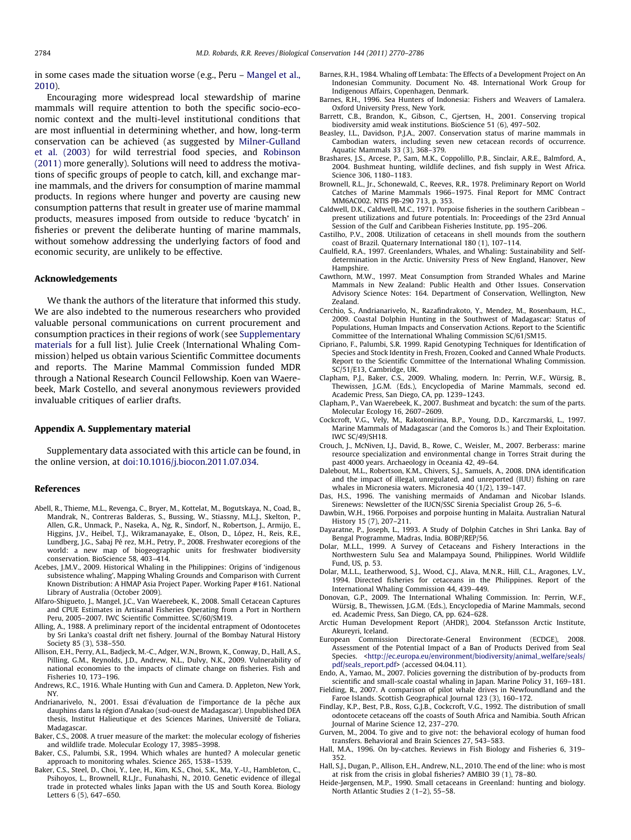<span id="page-14-0"></span>in some cases made the situation worse (e.g., Peru – [Mangel et al.,](#page-15-0) [2010\)](#page-15-0).

Encouraging more widespread local stewardship of marine mammals will require attention to both the specific socio-economic context and the multi-level institutional conditions that are most influential in determining whether, and how, long-term conservation can be achieved (as suggested by [Milner-Gulland](#page-15-0) [et al. \(2003\)](#page-15-0) for wild terrestrial food species, and [Robinson](#page-15-0) [\(2011\)](#page-15-0) more generally). Solutions will need to address the motivations of specific groups of people to catch, kill, and exchange marine mammals, and the drivers for consumption of marine mammal products. In regions where hunger and poverty are causing new consumption patterns that result in greater use of marine mammal products, measures imposed from outside to reduce 'bycatch' in fisheries or prevent the deliberate hunting of marine mammals, without somehow addressing the underlying factors of food and economic security, are unlikely to be effective.

#### Acknowledgements

We thank the authors of the literature that informed this study. We are also indebted to the numerous researchers who provided valuable personal communications on current procurement and consumption practices in their regions of work (see Supplementary materials for a full list). Julie Creek (International Whaling Commission) helped us obtain various Scientific Committee documents and reports. The Marine Mammal Commission funded MDR through a National Research Council Fellowship. Koen van Waerebeek, Mark Costello, and several anonymous reviewers provided invaluable critiques of earlier drafts.

#### Appendix A. Supplementary material

Supplementary data associated with this article can be found, in the online version, at [doi:10.1016/j.biocon.2011.07.034](http://dx.doi.org/10.1016/j.biocon.2011.07.034).

#### References

- Abell, R., Thieme, M.L., Revenga, C., Bryer, M., Kottelat, M., Bogutskaya, N., Coad, B., Mandrak, N., Contreras Balderas, S., Bussing, W., Stiassny, M.L.J., Skelton, P., Allen, G.R., Unmack, P., Naseka, A., Ng, R., Sindorf, N., Robertson, J., Armijo, E., Higgins, J.V., Heibel, T.J., Wikramanayake, E., Olson, D., López, H., Reis, R.E., Lundberg, J.G., Sabaj Pé rez, M.H., Petry, P., 2008. Freshwater ecoregions of the world: a new map of biogeographic units for freshwater biodiversity conservation. BioScience 58, 403–414.
- Acebes, J.M.V., 2009. Historical Whaling in the Philippines: Origins of 'indigenous subsistence whaling', Mapping Whaling Grounds and Comparison with Current Known Distribution: A HMAP Asia Project Paper. Working Paper #161. National Library of Australia (October 2009).
- Alfaro-Shigueto, J., Mangel, J.C., Van Waerebeek, K., 2008. Small Cetacean Captures and CPUE Estimates in Artisanal Fisheries Operating from a Port in Northern Peru, 2005–2007. IWC Scientific Committee. SC/60/SM19.
- Alling, A., 1988. A preliminary report of the incidental entrapment of Odontocetes by Sri Lanka's coastal drift net fishery. Journal of the Bombay Natural History Society 85 (3), 538–550.
- Allison, E.H., Perry, A.L., Badjeck, M.-C., Adger, W.N., Brown, K., Conway, D., Hall, A.S., Pilling, G.M., Reynolds, J.D., Andrew, N.L., Dulvy, N.K., 2009. Vulnerability of national economies to the impacts of climate change on fisheries. Fish and Fisheries 10, 173–196.
- Andrews, R.C., 1916. Whale Hunting with Gun and Camera. D. Appleton, New York, NY.
- Andrianarivelo, N., 2001. Essai d'évaluation de l'importance de la pêche aux dauphins dans la région d'Anakao (sud-ouest de Madagascar). Unpublished DEA thesis, Institut Halieutique et des Sciences Marines, Université de Toliara, Madagascar.
- Baker, C.S., 2008. A truer measure of the market: the molecular ecology of fisheries and wildlife trade. Molecular Ecology 17, 3985–3998.
- Baker, C.S., Palumbi, S.R., 1994. Which whales are hunted? A molecular genetic approach to monitoring whales. Science 265, 1538–1539.
- Baker, C.S., Steel, D., Choi, Y., Lee, H., Kim, K.S., Choi, S.K., Ma, Y.-U., Hambleton, C., Psihoyos, L., Brownell, R.L.Jr., Funahashi, N., 2010. Genetic evidence of illegal trade in protected whales links Japan with the US and South Korea. Biology Letters 6 (5), 647–650.
- Barnes, R.H., 1984. Whaling off Lembata: The Effects of a Development Project on An Indonesian Community. Document No. 48. International Work Group for Indigenous Affairs, Copenhagen, Denmark.
- Barnes, R.H., 1996. Sea Hunters of Indonesia: Fishers and Weavers of Lamalera. Oxford University Press, New York.
- Barrett, C.B., Brandon, K., Gibson, C., Gjertsen, H., 2001. Conserving tropical biodiversity amid weak institutions. BioScience 51 (6), 497–502.
- Beasley, I.L., Davidson, P.J.A., 2007. Conservation status of marine mammals in Cambodian waters, including seven new cetacean records of occurrence. Aquatic Mammals 33 (3), 368–379.
- Brashares, J.S., Arcese, P., Sam, M.K., Coppolillo, P.B., Sinclair, A.R.E., Balmford, A., 2004. Bushmeat hunting, wildlife declines, and fish supply in West Africa. Science 306, 1180–1183.
- Brownell, R.L., Jr., Schonewald, C., Reeves, R.R., 1978. Preliminary Report on World Catches of Marine Mammals 1966–1975. Final Report for MMC Contract MM6AC002. NTIS PB-290 713, p. 353.
- Caldwell, D.K., Caldwell, M.C., 1971. Porpoise fisheries in the southern Caribbean present utilizations and future potentials. In: Proceedings of the 23rd Annual Session of the Gulf and Caribbean Fisheries Institute, pp. 195–206.
- Castilho, P.V., 2008. Utilization of cetaceans in shell mounds from the southern coast of Brazil. Quaternary International 180 (1), 107–114.
- Caulfield, R.A., 1997. Greenlanders, Whales, and Whaling: Sustainability and Selfdetermination in the Arctic. University Press of New England, Hanover, New Hampshire.
- Cawthorn, M.W., 1997. Meat Consumption from Stranded Whales and Marine Mammals in New Zealand: Public Health and Other Issues. Conservation Advisory Science Notes: 164. Department of Conservation, Wellington, New Zealand.
- Cerchio, S., Andrianarivelo, N., Razafindrakoto, Y., Mendez, M., Rosenbaum, H.C., 2009. Coastal Dolphin Hunting in the Southwest of Madagascar: Status of Populations, Human Impacts and Conservation Actions. Report to the Scientific Committee of the International Whaling Commission SC/61/SM15.
- Cipriano, F., Palumbi, S.R. 1999. Rapid Genotyping Techniques for Identification of Species and Stock Identity in Fresh, Frozen, Cooked and Canned Whale Products. Report to the Scientific Committee of the International Whaling Commission. SC/51/E13, Cambridge, UK.
- Clapham, P.J., Baker, C.S., 2009. Whaling, modern. In: Perrin, W.F., Würsig, B., Thewissen, J.G.M. (Eds.), Encyclopedia of Marine Mammals, second ed. Academic Press, San Diego, CA, pp. 1239–1243.
- Clapham, P., Van Waerebeek, K., 2007. Bushmeat and bycatch: the sum of the parts. Molecular Ecology 16, 2607–2609.
- Cockcroft, V.G., Vely, M., Rakotonirina, B.P., Young, D.D., Karczmarski, L., 1997. Marine Mammals of Madagascar (and the Comoros Is.) and Their Exploitation. IWC SC/49/SH18.
- Crouch, J., McNiven, I.J., David, B., Rowe, C., Weisler, M., 2007. Berberass: marine resource specialization and environmental change in Torres Strait during the past 4000 years. Archaeology in Oceania 42, 49–64.
- Dalebout, M.L., Robertson, K.M., Chivers, S.J., Samuels, A., 2008. DNA identification and the impact of illegal, unregulated, and unreported (IUU) fishing on rare whales in Micronesia waters. Micronesia 40 (1/2), 139–147.
- Das, H.S., 1996. The vanishing mermaids of Andaman and Nicobar Islands. Sirenews: Newsletter of the IUCN/SSC Sirenia Specialist Group 26, 5–6.
- Dawbin, W.H., 1966. Porpoises and porpoise hunting in Malaita. Australian Natural History 15 (7), 207–211.
- Dayaratne, P., Joseph, L., 1993. A Study of Dolphin Catches in Shri Lanka. Bay of Bengal Programme, Madras, India. BOBP/REP/56.
- Dolar, M.L.L., 1999. A Survey of Cetaceans and Fishery Interactions in the Northwestern Sulu Sea and Malampaya Sound, Philippines. World Wildlife Fund, US, p. 53.
- Dolar, M.L.L., Leatherwood, S.J., Wood, C.J., Alava, M.N.R., Hill, C.L., Aragones, L.V., 1994. Directed fisheries for cetaceans in the Philippines. Report of the International Whaling Commission 44, 439–449.
- Donovan, G.P., 2009. The International Whaling Commission. In: Perrin, W.F., Würsig, B., Thewissen, J.G.M. (Eds.), Encyclopedia of Marine Mammals, second ed. Academic Press, San Diego, CA, pp. 624–628.
- Arctic Human Development Report (AHDR), 2004. Stefansson Arctic Institute, Akureyri, Iceland.
- European Commission Directorate-General Environment (ECDGE), 2008. Assessment of the Potential Impact of a Ban of Products Derived from Seal Species. [<http://ec.europa.eu/environment/biodiversity/animal\\_welfare/seals/](http://ec.europa.eu/environment/biodiversity/animal_welfare/seals/pdf/seals_report.pdf) [pdf/seals\\_report.pdf](http://ec.europa.eu/environment/biodiversity/animal_welfare/seals/pdf/seals_report.pdf)> (accessed 04.04.11).
- Endo, A., Yamao, M., 2007. Policies governing the distribution of by-products from scientific and small-scale coastal whaling in Japan. Marine Policy 31, 169–181.
- Fielding, R., 2007. A comparison of pilot whale drives in Newfoundland and the Faroe Islands. Scottish Geographical Journal 123 (3), 160–172.
- Findlay, K.P., Best, P.B., Ross, G.J.B., Cockcroft, V.G., 1992. The distribution of small odontocete cetaceans off the coasts of South Africa and Namibia. South African Journal of Marine Science 12, 237–270.
- Gurven, M., 2004. To give and to give not: the behavioral ecology of human food transfers. Behavioral and Brain Sciences 27, 543–583.
- Hall, M.A., 1996. On by-catches. Reviews in Fish Biology and Fisheries 6, 319– 352.
- Hall, S.J., Dugan, P., Allison, E.H., Andrew, N.L., 2010. The end of the line: who is most at risk from the crisis in global fisheries? AMBIO 39 (1), 78–80.
- Heide-Jørgensen, M.P., 1990. Small cetaceans in Greenland: hunting and biology. North Atlantic Studies 2 (1–2), 55–58.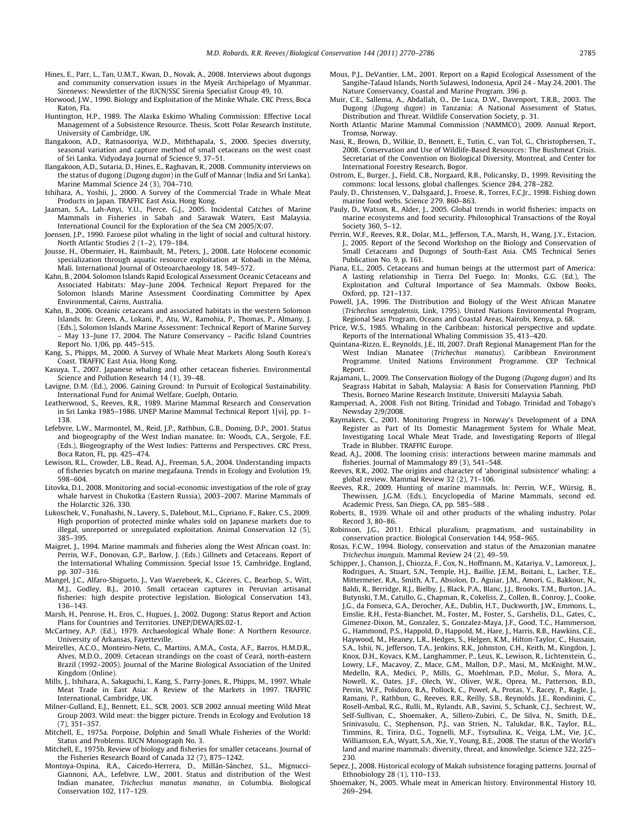- <span id="page-15-0"></span>Hines, E., Parr, L., Tan, U.M.T., Kwan, D., Novak, A., 2008. Interviews about dugongs and community conservation issues in the Myeik Archipelago of Myanmar. Sirenews: Newsletter of the IUCN/SSC Sirenia Specialist Group 49, 10.
- Horwood, J.W., 1990. Biology and Exploitation of the Minke Whale. CRC Press, Boca Raton, Fla.
- Huntington, H.P., 1989. The Alaska Eskimo Whaling Commission: Effective Local Management of a Subsistence Resource. Thesis, Scott Polar Research Institute, University of Cambridge, UK.
- Ilangakoon, A.D., Ratnasooriya, W.D., Miththapala, S., 2000. Species diversity, seasonal variation and capture method of small cetaceans on the west coast of Sri Lanka. Vidyodaya Journal of Science 9, 37–51.
- Ilangakoon, A.D., Sutaria, D., Hines, E., Raghavan, R., 2008. Community interviews on the status of dugong (Dugong dugon) in the Gulf of Mannar (India and Sri Lanka). Marine Mammal Science 24 (3), 704–710.
- Ishihara, A., Yoshii, J., 2000. A Survey of the Commercial Trade in Whale Meat Products in Japan. TRAFFIC East Asia, Hong Kong.
- Jaaman, S.A., Lah-Anyi, Y.U., Pierce, G.J., 2005. Incidental Catches of Marine Mammals in Fisheries in Sabah and Sarawak Waters, East Malaysia. International Council for the Exploration of the Sea CM 2005/X:07.
- Joensen, J.P., 1990. Faroese pilot whaling in the light of social and cultural history. North Atlantic Studies 2 (1–2), 179–184.
- Jousse, H., Obermaier, H., Raimbault, M., Peters, J., 2008. Late Holocene economic specialization through aquatic resource exploitation at Kobadi in the Méma, Mali. International Journal of Osteoarchaeology 18, 549–572.
- Kahn, B., 2004. Solomon Islands Rapid Ecological Assessment Oceanic Cetaceans and Associated Habitats: May–June 2004. Technical Report Prepared for the Solomon Islands Marine Assessment Coordinating Committee by Apex Environmental, Cairns, Australia.
- Kahn, B., 2006. Oceanic cetaceans and associated habitats in the western Solomon Islands. In: Green, A., Lokani, P., Atu, W., Ramohia, P., Thomas, P., Almany, J. (Eds.), Solomon Islands Marine Assessment: Technical Report of Marine Survey – May 13–June 17, 2004. The Nature Conservancy – Pacific Island Countries Report No. 1/06, pp. 445–515.
- Kang, S., Phipps, M., 2000. A Survey of Whale Meat Markets Along South Korea's Coast. TRAFFIC East Asia, Hong Kong.
- Kasuya, T., 2007. Japanese whaling and other cetacean fisheries. Environmental Science and Pollution Research 14 (1), 39–48.
- Lavigne, D.M. (Ed.), 2006. Gaining Ground: In Pursuit of Ecological Sustainability. International Fund for Animal Welfare, Guelph, Ontario.
- Leatherwood, S., Reeves, R.R., 1989. Marine Mammal Research and Conservation in Sri Lanka 1985–1986. UNEP Marine Mammal Technical Report 1[vi], pp. 1– 138.
- Lefebvre, L.W., Marmontel, M., Reid, J.P., Rathbun, G.B., Doming, D.P., 2001. Status and biogeography of the West Indian manatee. In: Woods, C.A., Sergole, F.E. (Eds.), Biogeography of the West Indies: Patterns and Perspectives. CRC Press, Boca Raton, FL, pp. 425–474.
- Lewison, R.L., Crowder, L.B., Read, A.J., Freeman, S.A., 2004. Understanding impacts of fisheries bycatch on marine megafauna. Trends in Ecology and Evolution 19, 598–604.
- Litovka, D.I., 2008. Monitoring and social-economic investigation of the role of gray whale harvest in Chukotka (Eastern Russia), 2003–2007. Marine Mammals of the Holarctic 326, 330.
- Lukoschek, V., Funahashi, N., Lavery, S., Dalebout, M.L., Cipriano, F., Baker, C.S., 2009. High proportion of protected minke whales sold on Japanese markets due to illegal, unreported or unregulated exploitation. Animal Conservation 12 (5), 385–395.
- Maigret, J., 1994. Marine mammals and fisheries along the West African coast. In: Perrin, W.F., Donovan, G.P., Barlow, J. (Eds.) Gillnets and Cetaceans. Report of the International Whaling Commission. Special Issue 15, Cambridge, England, pp. 307–316.
- Mangel, J.C., Alfaro-Shigueto, J., Van Waerebeek, K., Cáceres, C., Bearhop, S., Witt, M.J., Godley, B.J., 2010. Small cetacean captures in Peruvian artisanal fisheries: high despite protective legislation. Biological Conservation 143, 136–143.
- Marsh, H., Penrose, H., Eros, C., Hugues, J., 2002. Dugong: Status Report and Action Plans for Countries and Territories. UNEP/DEWA/RS.02-1.
- McCartney, A.P. (Ed.), 1979. Archaeological Whale Bone: A Northern Resource. University of Arkansas, Fayetteville.
- Meirelles, A.C.O., Monteiro-Neto, C., Martins, A.M.A., Costa, A.F., Barros, H.M.D.R., Alves, M.D.O., 2009. Cetacean strandings on the coast of Ceará, north-eastern Brazil (1992–2005). Journal of the Marine Biological Association of the United Kingdom (Online).
- Mills, J., Ishihara, A., Sakaguchi, I., Kang, S., Parry-Jones, R., Phipps, M., 1997. Whale Meat Trade in East Asia: A Review of the Markets in 1997. TRAFFIC International, Cambridge, UK.
- Milner-Gulland, E.J., Bennett, E.L., SCB, 2003. SCB 2002 annual meeting Wild Meat Group 2003. Wild meat: the bigger picture. Trends in Ecology and Evolution 18 (7), 351–357.
- Mitchell, E., 1975a. Porpoise, Dolphin and Small Whale Fisheries of the World: Status and Problems. IUCN Monograph No. 3.
- Mitchell, E., 1975b. Review of biology and fisheries for smaller cetaceans. Journal of the Fisheries Research Board of Canada 32 (7), 875–1242.
- Montoya-Ospina, R.A., Caicedo-Herrera, D., Millán-Sánchez, S.L., Mignucci-Giannoni, A.A., Lefebvre, L.W., 2001. Status and distribution of the West Indian manatee, Trichechus manatus manatus, in Columbia. Biological Conservation 102, 117–129.
- Mous, P.J., DeVantier, L.M., 2001. Report on a Rapid Ecological Assessment of the Sangihe-Talaud Islands, North Sulawesi, Indonesia, April 24 - May 24, 2001. The Nature Conservancy, Coastal and Marine Program. 396 p.
- Muir, C.E., Sallema, A., Abdallah, O., De Luca, D.W., Davenport, T.R.B., 2003. The Dugong (Dugong dugon) in Tanzania: A National Assessment of Status, Distribution and Threat. Wildlife Conservation Society, p. 31.
- North Atlantic Marine Mammal Commission (NAMMCO), 2009. Annual Report, Tromsø, Norway.
- Nasi, R., Brown, D., Wilkie, D., Bennett, E., Tutin, C., van Tol, G., Christophersen, T., 2008. Conservation and Use of Wildlife-Based Resources: The Bushmeat Crisis. Secretariat of the Convention on Biological Diversity, Montreal, and Center for International Forestry Research, Bogor.
- Ostrom, E., Burger, J., Field, C.B., Norgaard, R.B., Policansky, D., 1999. Revisiting the commons: local lessons, global challenges. Science 284, 278–282.
- Pauly, D., Christensen, V., Dalsgaard, J., Froese, R., Torres, F.C.Jr., 1998. Fishing down marine food webs. Science 279, 860–863.
- Pauly, D., Watson, R., Alder, J., 2005. Global trends in world fisheries: impacts on marine ecosystems and food security. Philosophical Transactions of the Royal Society 360, 5–12.
- Perrin, W.F., Reeves, R.R., Dolar, M.L., Jefferson, T.A., Marsh, H., Wang, J.Y., Estacion, J., 2005. Report of the Second Workshop on the Biology and Conservation of Small Cetaceans and Dugongs of South-East Asia. CMS Technical Series Publication No. 9, p. 161.
- Piana, E.L., 2005. Cetaceans and human beings at the uttermost part of America: A lasting relationship in Tierra Del Fuego. In: Monks, G.G. (Ed.), The Exploitation and Cultural Importance of Sea Mammals. Oxbow Books, Oxford, pp. 121–137.
- Powell, J.A., 1996. The Distribution and Biology of the West African Manatee (Trichechus senegalensis, Link, 1795). United Nations Environmental Program, Regional Seas Program, Oceans and Coastal Areas, Nairobi, Kenya, p. 68.
- Price, W.S., 1985. Whaling in the Caribbean: historical perspective and update. Reports of the International Whaling Commission 35, 413–420.
- Quintana-Rizzo, E., Reynolds, J.E., III, 2007. Draft Regional Management Plan for the West Indian Manatee (Trichechus manatus). Caribbean Environment Programme. United Nations Environment Programme. CEP Technical Report.
- Rajamani, L., 2009. The Conservation Biology of the Dugong (Dugong dugon) and Its Seagrass Habitat in Sabah, Malaysia: A Basis for Conservation Planning. PhD Thesis, Borneo Marine Research Institute, Universiti Malaysia Sabah.
- Rampersad, A., 2008. Fish not Biting. Trinidad and Tobago. Trinidad and Tobago's Newsday 2/9/2008.
- Raymakers, C., 2001. Monitoring Progress in Norway's Development of a DNA Register as Part of Its Domestic Management System for Whale Meat, Investigating Local Whale Meat Trade, and Investigating Reports of Illegal Trade in Blubber. TRAFFIC Europe.
- Read, A.J., 2008. The looming crisis: interactions between marine mammals and fisheries. Journal of Mammalogy 89 (3), 541–548.
- Reeves, R.R., 2002. The origins and character of 'aboriginal subsistence' whaling: a global review. Mammal Review 32 (2), 71–106.
- Reeves, R.R., 2009. Hunting of marine mammals. In: Perrin, W.F., Würsig, B., Thewissen, J.G.M. (Eds.), Encyclopedia of Marine Mammals, second ed. Academic Press, San Diego, CA, pp. 585–588 .
- Roberts, B., 1939. Whale oil and other products of the whaling industry. Polar Record 3, 80–86.
- Robinson, J.G., 2011. Ethical pluralism, pragmatism, and sustainability in conservation practice. Biological Conservation 144, 958–965.
- Rosas, F.C.W., 1994. Biology, conservation and status of the Amazonian manatee Trichechus inunguis. Mammal Review 24 (2), 49–59.
- Schipper, J., Chanson, J., Chiozza, F., Cox, N., Hoffmann, M., Katariya, V., Lamoreux, J., Rodrigues, A., Stuart, S.N., Temple, H.J., Baillie, J.E.M., Boitani, L., Lacher, T.E., Mittermeier, R.A., Smith, A.T., Absolon, D., Aguiar, J.M., Amori, G., Bakkour, N., Baldi, R., Berridge, R.J., Bielby, J., Black, P.A., Blanc, J.J., Brooks, T.M., Burton, J.A.<br>Butynski, T.M., Catullo, G., Chapman, R., Cokeliss, Z., Collen, B., Conroy, J., Cooke J.G., da Fonseca, G.A., Derocher, A.E., Dublin, H.T., Duckworth, J.W., Emmons, L., Emslie, R.H., Festa-Bianchet, M., Foster, M., Foster, S., Garshelis, D.L., Gates, C., Gimenez-Dixon, M., Gonzalez, S., Gonzalez-Maya, J.F., Good, T.C., Hammerson, G., Hammond, P.S., Happold, D., Happold, M., Hare, J., Harris, R.B., Hawkins, C.E., Haywood, M., Heaney, L.R., Hedges, S., Helgen, K.M., Hilton-Taylor, C., Hussain, S.A., Ishii, N., Jefferson, T.A., Jenkins, R.K., Johnston, C.H., Keith, M., Kingdon, J., Knox, D.H., Kovacs, K.M., Langhammer, P., Leus, K., Lewison, R., Lichtenstein, G., Lowry, L.F., Macavoy, Z., Mace, G.M., Mallon, D.P., Masi, M., McKnight, M.W., Medelln, R.A., Medici, P., Mills, G., Moehlman, P.D., Molur, S., Mora, A., Nowell, K., Oates, J.F., Olech, W., Oliver, W.R., Oprea, M., Patterson, B.D., Perrin, W.F., Polidoro, B.A., Pollock, C., Powel, A., Protas, Y., Racey, P., Ragle, J., Ramani, P., Rathbun, G., Reeves, R.R., Reilly, S.B., Reynolds, J.E., Rondinini, C., Rosell-Ambal, R.G., Rulli, M., Rylands, A.B., Savini, S., Schank, C.J., Sechrest, W., Self-Sullivan, C., Shoemaker, A., Sillero-Zubiri, C., De Silva, N., Smith, D.E., Srinivasulu, C., Stephenson, P.J., van Strien, N., Talukdar, B.K., Taylor, B.L., Timmins, R., Tirira, D.G., Tognelli, M.F., Tsytsulina, K., Veiga, L.M., Vie, J.C., Williamson, E.A., Wyatt, S.A., Xie, Y., Young, B.E., 2008. The status of the World's land and marine mammals: diversity, threat, and knowledge. Science 322, 225– 230.
- Sepez, J., 2008. Historical ecology of Makah subsistence foraging patterns. Journal of Ethnobiology 28 (1), 110–133.
- Shoemaker, N., 2005. Whale meat in American history. Environmental History 10, 269–294.